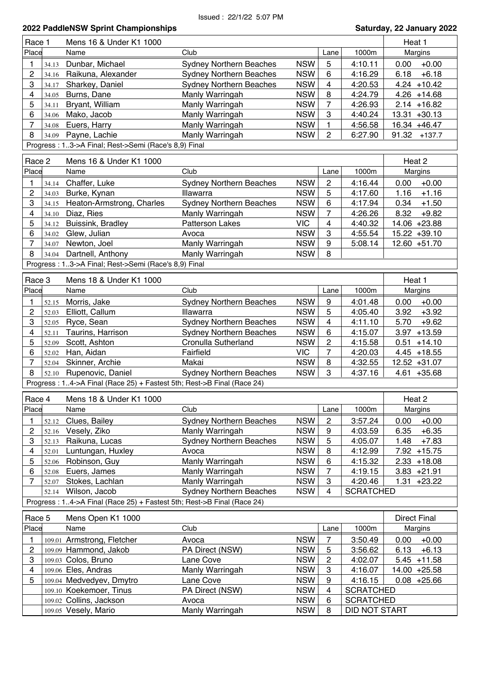| Race 1                  |                                                      | Mens 16 & Under K1 1000                                                |                                |            |                         |                  | Heat 1              |  |
|-------------------------|------------------------------------------------------|------------------------------------------------------------------------|--------------------------------|------------|-------------------------|------------------|---------------------|--|
| Place                   |                                                      | Name                                                                   | Club                           |            | Lane                    | 1000m            | Margins             |  |
| 1                       | 34.13                                                | Dunbar, Michael                                                        | <b>Sydney Northern Beaches</b> | <b>NSW</b> | 5                       | 4:10.11          | $+0.00$<br>0.00     |  |
| 2                       | 34.16                                                | Raikuna, Alexander                                                     | <b>Sydney Northern Beaches</b> | <b>NSW</b> | 6                       | 4:16.29          | $+6.18$<br>6.18     |  |
| 3                       | 34.17                                                | Sharkey, Daniel                                                        | <b>Sydney Northern Beaches</b> | <b>NSW</b> | 4                       | 4:20.53          | $4.24 + 10.42$      |  |
| 4                       | 34.05                                                | Burns, Dane                                                            | Manly Warringah                | <b>NSW</b> | 8                       | 4:24.79          | $4.26 + 14.68$      |  |
| 5                       | 34.11                                                | Bryant, William                                                        | Manly Warringah                | <b>NSW</b> | 7                       | 4:26.93          | $2.14 + 16.82$      |  |
| 6                       | 34.06                                                | Mako, Jacob                                                            | Manly Warringah                | <b>NSW</b> | 3                       | 4:40.24          | 13.31 +30.13        |  |
| $\overline{7}$          | 34.08                                                | Euers, Harry                                                           | Manly Warringah                | <b>NSW</b> | 1                       | 4:56.58          | 16.34 +46.47        |  |
| 8                       | 34.09                                                | Payne, Lachie                                                          | Manly Warringah                | <b>NSW</b> | $\overline{2}$          | 6:27.90          | 91.32<br>$+137.7$   |  |
|                         | Progress: 13->A Final; Rest->Semi (Race's 8,9) Final |                                                                        |                                |            |                         |                  |                     |  |
| Race 2                  |                                                      | Mens 16 & Under K1 1000                                                |                                |            |                         |                  | Heat 2              |  |
| Place                   |                                                      | Name                                                                   | Club                           |            | Lane                    | 1000m            | Margins             |  |
| 1                       |                                                      | Chaffer, Luke                                                          | <b>Sydney Northern Beaches</b> | <b>NSW</b> | 2                       | 4:16.44          | $+0.00$<br>0.00     |  |
| $\overline{c}$          | 34.14<br>34.03                                       | Burke, Kynan                                                           | Illawarra                      | <b>NSW</b> | 5                       | 4:17.60          | $+1.16$<br>1.16     |  |
| 3                       | 34.15                                                | Heaton-Armstrong, Charles                                              | <b>Sydney Northern Beaches</b> | <b>NSW</b> | 6                       | 4:17.94          | 0.34<br>$+1.50$     |  |
| 4                       | 34.10                                                | Diaz, Ries                                                             | Manly Warringah                | <b>NSW</b> | 7                       | 4:26.26          | 8.32<br>$+9.82$     |  |
| 5                       | 34.12                                                | Buissink, Bradley                                                      | <b>Patterson Lakes</b>         | <b>VIC</b> | 4                       | 4:40.32          | 14.06 +23.88        |  |
| 6                       | 34.02                                                | Glew, Julian                                                           | Avoca                          | <b>NSW</b> | 3                       | 4:55.54          | 15.22 +39.10        |  |
| $\overline{7}$          | 34.07                                                | Newton, Joel                                                           | Manly Warringah                | <b>NSW</b> | 9                       | 5:08.14          | 12.60 +51.70        |  |
| 8                       | 34.04                                                | Dartnell, Anthony                                                      | Manly Warringah                | <b>NSW</b> | 8                       |                  |                     |  |
|                         |                                                      | Progress: 13->A Final; Rest->Semi (Race's 8,9) Final                   |                                |            |                         |                  |                     |  |
|                         |                                                      |                                                                        |                                |            |                         |                  |                     |  |
| Race 3                  |                                                      | Mens 18 & Under K1 1000                                                |                                |            |                         |                  | Heat 1              |  |
| Place                   |                                                      | Name                                                                   | Club                           |            | Lane                    | 1000m            | Margins             |  |
| 1                       | 52.15                                                | Morris, Jake                                                           | <b>Sydney Northern Beaches</b> | <b>NSW</b> | 9                       | 4:01.48          | 0.00<br>$+0.00$     |  |
| 2                       | 52.03                                                | Elliott, Callum                                                        | Illawarra                      | <b>NSW</b> | 5                       | 4:05.40          | $+3.92$<br>3.92     |  |
| 3                       | 52.05                                                | Ryce, Sean                                                             | <b>Sydney Northern Beaches</b> | <b>NSW</b> | $\overline{\mathbf{4}}$ | 4:11.10          | 5.70<br>$+9.62$     |  |
| $\overline{\mathbf{4}}$ | 52.11                                                | Taurins, Harrison                                                      | <b>Sydney Northern Beaches</b> | <b>NSW</b> | 6                       | 4:15.07          | $+13.59$<br>3.97    |  |
| 5                       | 52.09                                                | Scott, Ashton                                                          | Cronulla Sutherland            | <b>NSW</b> | $\overline{c}$          | 4:15.58          | $+14.10$<br>0.51    |  |
| 6                       | 52.02                                                | Han, Aidan                                                             | Fairfield                      | <b>VIC</b> | $\overline{7}$          | 4:20.03          | $4.45 + 18.55$      |  |
| $\overline{7}$          | 52.04                                                | Skinner, Archie                                                        | Makai                          | <b>NSW</b> | 8                       | 4:32.55          | 12.52 +31.07        |  |
| 8                       | 52.10                                                | Rupenovic, Daniel                                                      | <b>Sydney Northern Beaches</b> | <b>NSW</b> | 3                       | 4:37.16          | $4.61 + 35.68$      |  |
|                         |                                                      | Progress: 14->A Final (Race 25) + Fastest 5th; Rest->B Final (Race 24) |                                |            |                         |                  |                     |  |
| Race 4                  |                                                      | Mens 18 & Under K1 1000                                                |                                |            |                         |                  | Heat 2              |  |
| Place                   |                                                      | Name                                                                   | Club                           |            | Lane                    | 1000m            | Margins             |  |
| 1                       | 52.12                                                | Clues, Bailey                                                          | <b>Sydney Northern Beaches</b> | <b>NSW</b> | $\overline{c}$          | 3:57.24          | $+0.00$<br>0.00     |  |
| $\overline{c}$          | 52.16                                                | Vesely, Ziko                                                           | Manly Warringah                | <b>NSW</b> | 9                       | 4:03.59          | 6.35<br>$+6.35$     |  |
| 3                       | 52.13                                                | Raikuna, Lucas                                                         | Sydney Northern Beaches        | <b>NSW</b> | 5                       | 4:05.07          | 1.48<br>$+7.83$     |  |
| 4                       | 52.01                                                | Luntungan, Huxley                                                      | Avoca                          | <b>NSW</b> | 8                       | 4:12.99          | 7.92 +15.75         |  |
| 5                       | 52.06                                                | Robinson, Guy                                                          | Manly Warringah                | <b>NSW</b> | 6                       | 4:15.32          | $2.33 + 18.08$      |  |
| 6                       | 52.08                                                | Euers, James                                                           | Manly Warringah                | <b>NSW</b> | 7                       | 4:19.15          | $3.83 + 21.91$      |  |
| $\overline{7}$          | 52.07                                                | Stokes, Lachlan                                                        | Manly Warringah                | <b>NSW</b> | 3                       | 4:20.46          | $1.31$<br>$+23.22$  |  |
|                         | 52.14                                                | Wilson, Jacob                                                          | <b>Sydney Northern Beaches</b> | <b>NSW</b> | 4                       | <b>SCRATCHED</b> |                     |  |
|                         |                                                      | Progress: 14->A Final (Race 25) + Fastest 5th; Rest->B Final (Race 24) |                                |            |                         |                  |                     |  |
|                         |                                                      |                                                                        |                                |            |                         |                  |                     |  |
| Race 5                  |                                                      | Mens Open K1 1000                                                      |                                |            |                         |                  | <b>Direct Final</b> |  |
| Place                   |                                                      | Name                                                                   | Club                           |            | Lane                    | 1000m            | Margins             |  |
| 1                       |                                                      | 109.01 Armstrong, Fletcher                                             | Avoca                          | <b>NSW</b> | $\overline{7}$          | 3:50.49          | 0.00<br>$+0.00$     |  |
| $\boldsymbol{2}$        |                                                      | 109.09 Hammond, Jakob                                                  | PA Direct (NSW)                | <b>NSW</b> | 5                       | 3:56.62          | 6.13<br>$+6.13$     |  |
| 3                       |                                                      | 109.03 Colos, Bruno                                                    | Lane Cove                      | <b>NSW</b> | $\overline{c}$          | 4:02.07          | $5.45 + 11.58$      |  |
| 4                       |                                                      | 109.06 Eles, Andras                                                    | Manly Warringah                | <b>NSW</b> | 3                       | 4:16.07          | 14.00 +25.58        |  |
| 5                       |                                                      | 109.04 Medvedyev, Dmytro                                               | Lane Cove                      | <b>NSW</b> | 9                       | 4:16.15          | $0.08 + 25.66$      |  |
|                         |                                                      | 109.10 Koekemoer, Tinus                                                | PA Direct (NSW)                | <b>NSW</b> | 4                       | <b>SCRATCHED</b> |                     |  |
|                         |                                                      | 109.02 Collins, Jackson                                                | Avoca                          | <b>NSW</b> | 6                       | <b>SCRATCHED</b> |                     |  |
|                         |                                                      | 109.05 Vesely, Mario                                                   | Manly Warringah                | <b>NSW</b> | 8                       | DID NOT START    |                     |  |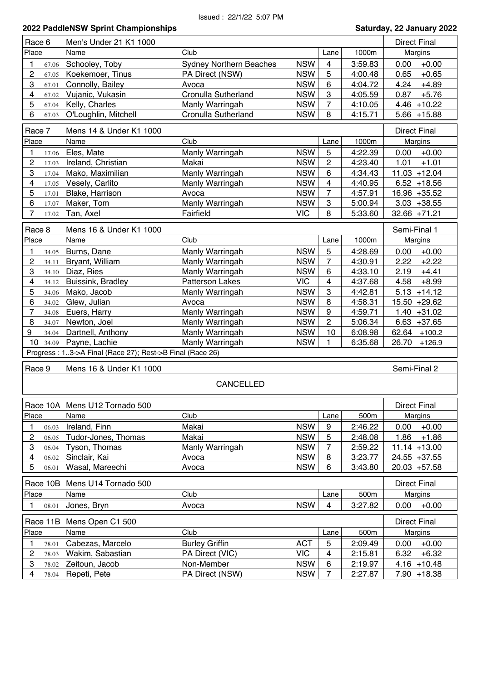| Race 6                            | Men's Under 21 K1 1000                                   |                                |            | <b>Direct Final</b> |         |                     |
|-----------------------------------|----------------------------------------------------------|--------------------------------|------------|---------------------|---------|---------------------|
| Place                             | Name                                                     | Club                           |            | Lane                | 1000m   | Margins             |
| 1<br>67.06                        | Schooley, Toby                                           | <b>Sydney Northern Beaches</b> | <b>NSW</b> | 4                   | 3:59.83 | $+0.00$<br>0.00     |
| $\overline{c}$<br>67.05           | Koekemoer, Tinus                                         | PA Direct (NSW)                | <b>NSW</b> | 5                   | 4:00.48 | $+0.65$<br>0.65     |
| 3<br>67.01                        | Connolly, Bailey                                         | Avoca                          | <b>NSW</b> | 6                   | 4:04.72 | 4.24<br>$+4.89$     |
| 4<br>67.02                        | Vujanic, Vukasin                                         | Cronulla Sutherland            | <b>NSW</b> | 3                   | 4:05.59 | 0.87<br>$+5.76$     |
| 5<br>67.04                        | Kelly, Charles                                           | Manly Warringah                | <b>NSW</b> | 7                   | 4:10.05 | $4.46 + 10.22$      |
| 6<br>67.03                        | O'Loughlin, Mitchell                                     | Cronulla Sutherland            | <b>NSW</b> | 8                   | 4:15.71 | $5.66 + 15.88$      |
| Race 7<br>Mens 14 & Under K1 1000 |                                                          |                                |            |                     |         | <b>Direct Final</b> |
| Place                             | Name                                                     | Club                           |            | Lane                | 1000m   | Margins             |
| 1<br>17.06                        | Eles, Mate                                               | Manly Warringah                | <b>NSW</b> | 5                   | 4:22.39 | $+0.00$<br>0.00     |
| 2<br>17.03                        | Ireland, Christian                                       | Makai                          | <b>NSW</b> | $\overline{c}$      | 4:23.40 | 1.01<br>$+1.01$     |
| 3<br>17.04                        | Mako, Maximilian                                         | Manly Warringah                | <b>NSW</b> | 6                   | 4:34.43 | $11.03 + 12.04$     |
| 4<br>17.05                        | Vesely, Carlito                                          | Manly Warringah                | <b>NSW</b> | 4                   | 4:40.95 | $6.52 + 18.56$      |
| 5<br>17.01                        | Blake, Harrison                                          | Avoca                          | <b>NSW</b> | $\overline{7}$      | 4:57.91 | 16.96 +35.52        |
| 6<br>17.07                        | Maker, Tom                                               | Manly Warringah                | <b>NSW</b> | 3                   | 5:00.94 | $3.03 + 38.55$      |
| 7<br>17.02                        | Tan, Axel                                                | Fairfield                      | <b>VIC</b> | 8                   | 5:33.60 | $32.66 + 71.21$     |
|                                   |                                                          |                                |            |                     |         |                     |
| Race 8                            | Mens 16 & Under K1 1000                                  |                                |            |                     |         | Semi-Final 1        |
| Place                             | Name                                                     | Club                           |            | Lane                | 1000m   | Margins             |
| 1<br>34.05                        | Burns, Dane                                              | Manly Warringah                | <b>NSW</b> | 5                   | 4:28.69 | $+0.00$<br>0.00     |
| 2<br>34.11                        | Bryant, William                                          | Manly Warringah                | <b>NSW</b> | $\overline{7}$      | 4:30.91 | $+2.22$<br>2.22     |
| 3<br>34.10                        | Diaz, Ries                                               | Manly Warringah                | <b>NSW</b> | 6                   | 4:33.10 | 2.19<br>$+4.41$     |
| 4<br>34.12                        | Buissink, Bradley                                        | <b>Patterson Lakes</b>         | <b>VIC</b> | 4                   | 4:37.68 | $+8.99$<br>4.58     |
| 5<br>34.06                        | Mako, Jacob                                              | Manly Warringah                | <b>NSW</b> | 3                   | 4:42.81 | $5.13 + 14.12$      |
| 6<br>34.02                        | Glew, Julian                                             | Avoca                          | <b>NSW</b> | 8                   | 4:58.31 | 15.50 +29.62        |
| 7<br>34.08                        | Euers, Harry                                             | Manly Warringah                | <b>NSW</b> | 9                   | 4:59.71 | $1.40 + 31.02$      |
| 8<br>34.07                        | Newton, Joel                                             | Manly Warringah                | <b>NSW</b> | $\overline{c}$      | 5:06.34 | $6.63 + 37.65$      |
| 9<br>34.04                        | Dartnell, Anthony                                        | Manly Warringah                | <b>NSW</b> | 10                  | 6:08.98 | 62.64<br>$+100.2$   |
| 10 34.09                          | Payne, Lachie                                            | Manly Warringah                | <b>NSW</b> | 1.                  | 6:35.68 | 26.70<br>$+126.9$   |
|                                   | Progress: 13->A Final (Race 27); Rest->B Final (Race 26) |                                |            |                     |         |                     |
| Race 9                            | Mens 16 & Under K1 1000                                  |                                |            |                     |         | Semi-Final 2        |
|                                   |                                                          | <b>CANCELLED</b>               |            |                     |         |                     |
|                                   |                                                          |                                |            |                     |         |                     |
|                                   | Race 10A Mens U12 Tornado 500                            |                                |            |                     |         | <b>Direct Final</b> |
| Place                             | Name                                                     | Club                           |            | Lane                | 500m    | Margins             |
| 1<br>06.03                        | Ireland, Finn                                            | Makai                          | <b>NSW</b> | $\boldsymbol{9}$    | 2:46.22 | 0.00<br>$+0.00$     |
| 2<br>06.05                        | Tudor-Jones, Thomas                                      | Makai                          | <b>NSW</b> | 5                   | 2:48.08 | 1.86<br>$+1.86$     |
| 3<br>06.04                        | Tyson, Thomas                                            | Manly Warringah                | <b>NSW</b> | 7                   | 2:59.22 | $11.14 + 13.00$     |
| 4<br>06.02                        | Sinclair, Kai                                            | Avoca                          | <b>NSW</b> | 8                   | 3:23.77 | 24.55 +37.55        |
| 5<br>06.01                        | Wasal, Mareechi                                          | Avoca                          | <b>NSW</b> | 6                   | 3:43.80 | 20.03 +57.58        |
| Race 10B                          | Mens U14 Tornado 500                                     |                                |            |                     |         | <b>Direct Final</b> |
| Place                             | Name                                                     | Club                           |            | Lane                | 500m    | Margins             |
|                                   |                                                          |                                |            |                     |         |                     |
| 1<br>08.01                        | Jones, Bryn                                              | Avoca                          | <b>NSW</b> | 4                   | 3:27.82 | 0.00<br>$+0.00$     |
| Race 11B                          | Mens Open C1 500                                         |                                |            |                     |         | <b>Direct Final</b> |
| Place                             | Name                                                     | Club                           |            | Lane                | 500m    | Margins             |
| 78.01<br>1                        | Cabezas, Marcelo                                         | <b>Burley Griffin</b>          | <b>ACT</b> | 5                   | 2:09.49 | 0.00<br>$+0.00$     |
| 2<br>78.03                        | Wakim, Sabastian                                         | PA Direct (VIC)                | <b>VIC</b> | 4                   | 2:15.81 | $+6.32$<br>6.32     |
| 3<br>78.02                        | Zeitoun, Jacob                                           | Non-Member                     | <b>NSW</b> | $\,6$               | 2:19.97 | $4.16 + 10.48$      |
| 4<br>78.04                        | Repeti, Pete                                             | PA Direct (NSW)                | <b>NSW</b> | $\overline{7}$      | 2:27.87 | 7.90 +18.38         |
|                                   |                                                          |                                |            |                     |         |                     |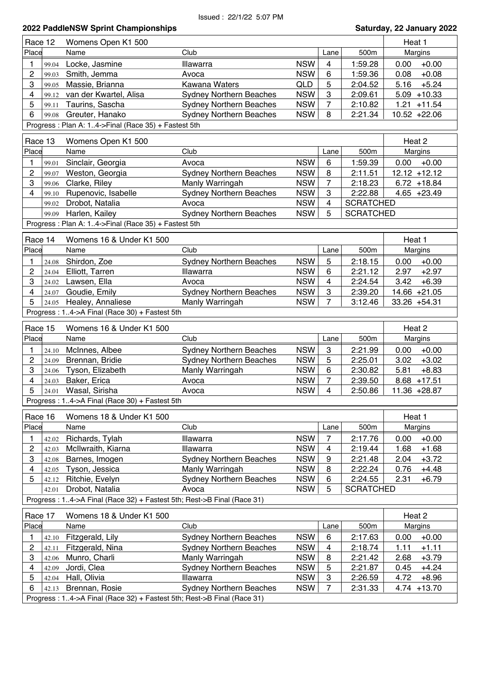### Issued : 22/1/22 5:07 PM

### **2022 PaddleNSW Sprint Championships Saturday, 22 January 2022** Place Name Club Club Lane 500m Margins Race 12 Womens Open K1 500 Heat 1 **Heat 1** Heat 1 1 99.04 Locke, Jasmine Illawarra NSW 4 1:59.28 0.00 +0.00 2 99.03 Smith, Jemma Avoca NSW 6 1:59.36 0.08 +0.08 3  $99.05$  Massie, Brianna Kawana Waters  $QLD$  5 2:04.52 5.16 +5.24 4 99.12 van der Kwartel, Alisa Sydney Northern Beaches NSW 3 2:09.61 5.09 +10.33 5 99.11 Taurins, Sascha Sydney Northern Beaches NSW 7 2:10.82 1.21 +11.54 6 99.08 Greuter, Hanako Sydney Northern Beaches NSW 8 2:21.34 10.52 +22.06 Progress : Plan A: 1..4->Final (Race 35) + Fastest 5th Place Name Club Club Club Lane 500m Margins Race 13 Nomens Open K1 500 Heat 2 Heat 2 Heat 2 1 99.01 Sinclair, Georgia **Avoca** Avoca NSW 6 1:59.39 0.00 +0.00 2 99.07 Weston, Georgia Sydney Northern Beaches NSW 8 2:11.51 12.12 +12.12 3 99.06 Clarke, Riley Manly Warringah NSW 7 2:18.23 6.72 +18.84 4 99.10 Rupenovic, Isabelle Sydney Northern Beaches NSW 3 2:22.88 4.65 +23.49 99.02 Drobot, Natalia  $\sim$  Avoca NSW 4 SCRATCHED 99.09 Harlen, Kailey **Sydney Northern Beaches** NSW 5 SCRATCHED Progress : Plan A: 1..4->Final (Race 35) + Fastest 5th Place Name Club Club Lane 500m Margins Race 14 Nomens 16 & Under K1 500 Heat 1 Heat 1 1 24.08 Shirdon, Zoe Sydney Northern Beaches NSW 5 2:18.15 0.00 +0.00<br>2 24.04 Elliott. Tarren Illawarra NSW 6 2:21.12 2.97 +2.97 2 24.04 Elliott, Tarren Illawarra NSW 6 2:21.12 2.97 +2.97 3 24.02 Lawsen, Ella Avoca NSW 4 2:24.54 3.42 +6.39 4 24.07 Goudie, Emily Sydney Northern Beaches NSW 3 2:39.20 14.66 +21.05 5 24.05 Healey, Annaliese Manly Warringah NSW 7 3:12.46 33.26 +54.31 Progress : 1..4->A Final (Race 30) + Fastest 5th Place Name Club Club Lane 500m Margins Race 15 Nomens 16 & Under K1 500 Heat 2 Heat 2 1 24.10 McInnes, Albee Sydney Northern Beaches NSW 3 2:21.99 0.00 +0.00 2 24.09 Brennan, Bridie Sydney Northern Beaches NSW 5 2:25.01 3.02 +3.02 3 24.06 Tyson, Elizabeth Manly Warringah NSW 6 2:30.82 5.81 +8.83 4 24.03 Baker, Erica **Avoca** Avoca NSW 7 2:39.50 8.68 +17.51 5 24.01 Wasal, Sirisha Avoca NSW 4 2:50.86 11.36 +28.87 Progress : 1..4->A Final (Race 30) + Fastest 5th Place Name Club Club Lane 500m Margins Race 16 Nomens 18 & Under K1 500 Heat 1 Heat 1 1 42.02 Richards, Tylah Illawarra NSW 7 2:17.76 0.00 +0.00 2  $|42.03$  McIlwraith, Kiarna Illawarra NSW 4 2:19.44 1.68 +1.68 3 42.08 Barnes, Imogen Sydney Northern Beaches NSW 9 2:21.48 2.04 +3.72 4 42.05 Tyson, Jessica Manly Warringah NSW 8 2:22.24 0.76 +4.48 5 42.12 Ritchie, Evelyn Sydney Northern Beaches NSW 6 2:24.55 2.31 +6.79 42.01 Drobot, Natalia **Avoca** Avoca NSW 5 SCRATCHED Progress : 1..4->A Final (Race 32) + Fastest 5th; Rest->B Final (Race 31) Place Name Club Lane 500m Margins Race 17 Nomens 18 & Under K1 500 Heat 2 Heat 2 Heat 2 1 42.10 Fitzgerald, Lily Sydney Northern Beaches NSW 6 2:17.63 0.00 +0.00 2  $|42.11$  Fitzgerald, Nina Sydney Northern Beaches  $NSW \mid 4 \mid 2:18.74 \mid 1.11 +1.11$ 3  $|42.06$  Munro, Charli Manly Warringah NSW 8 2:21.42 2.68  $+3.79$ 4 42.09 Jordi, Clea Sydney Northern Beaches NSW 5 2:21.87 0.45 +4.24 5 42.04 Hall, Olivia Illawarra NSW 3 2:26.59 4.72 +8.96 6  $|42.13$  Brennan, Rosie Sydney Northern Beaches NSW 7 2:31.33 4.74 +13.70

Progress : 1..4->A Final (Race 32) + Fastest 5th; Rest->B Final (Race 31)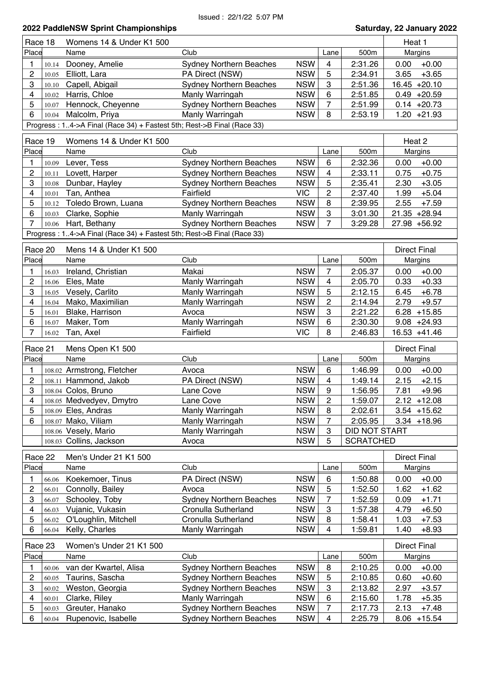| Race 18                          | Womens 14 & Under K1 500                                               |                                                           |            |                         |                  | Heat 1              |
|----------------------------------|------------------------------------------------------------------------|-----------------------------------------------------------|------------|-------------------------|------------------|---------------------|
| Place                            | Name                                                                   | Club                                                      |            | Lane                    | 500m             | Margins             |
| 1<br>10.14                       | Dooney, Amelie                                                         | <b>Sydney Northern Beaches</b>                            | <b>NSW</b> | $\overline{4}$          | 2:31.26          | $+0.00$<br>0.00     |
| 2<br>10.05                       | Elliott, Lara                                                          | PA Direct (NSW)                                           | <b>NSW</b> | 5                       | 2:34.91          | $+3.65$<br>3.65     |
| 3<br>10.10                       | Capell, Abigail                                                        | <b>Sydney Northern Beaches</b>                            | <b>NSW</b> | 3                       | 2:51.36          | $16.45 +20.10$      |
| $\overline{\mathbf{4}}$<br>10.02 | Harris, Chloe                                                          | Manly Warringah                                           | <b>NSW</b> | 6                       | 2:51.85          | $0.49 +20.59$       |
| 5<br>10.07                       | Hennock, Cheyenne                                                      | <b>Sydney Northern Beaches</b>                            | <b>NSW</b> | $\overline{7}$          | 2:51.99          | $0.14 +20.73$       |
| 6                                | 10.04 Malcolm, Priya                                                   | Manly Warringah                                           | <b>NSW</b> | 8                       | 2:53.19          | $1.20 +21.93$       |
|                                  | Progress: 14->A Final (Race 34) + Fastest 5th; Rest->B Final (Race 33) |                                                           |            |                         |                  |                     |
|                                  |                                                                        |                                                           |            |                         |                  |                     |
| Race 19                          | Womens 14 & Under K1 500                                               |                                                           |            |                         |                  | Heat 2              |
| Place                            | Name                                                                   | Club                                                      |            | Lane                    | 500m             | Margins             |
| 1<br>10.09                       | Lever, Tess                                                            | <b>Sydney Northern Beaches</b>                            | <b>NSW</b> | 6                       | 2:32.36          | $+0.00$<br>0.00     |
| $\overline{c}$<br>10.11          | Lovett, Harper                                                         | <b>Sydney Northern Beaches</b>                            | <b>NSW</b> | $\overline{\mathbf{4}}$ | 2:33.11          | $+0.75$<br>0.75     |
| 3<br>10.08                       | Dunbar, Hayley                                                         | <b>Sydney Northern Beaches</b>                            | <b>NSW</b> | 5                       | 2:35.41          | $+3.05$<br>2.30     |
| 4<br>10.01                       | Tan, Anthea                                                            | Fairfield                                                 | <b>VIC</b> | $\overline{c}$          | 2:37.40          | 1.99<br>$+5.04$     |
| 5<br>10.12                       | Toledo Brown, Luana                                                    | <b>Sydney Northern Beaches</b>                            | <b>NSW</b> | 8                       | 2:39.95          | $+7.59$<br>2.55     |
| 6<br>10.03                       | Clarke, Sophie                                                         | Manly Warringah                                           | <b>NSW</b> | 3                       | 3:01.30          | 21.35 +28.94        |
| 7<br>10.06                       | Hart, Bethany                                                          | <b>Sydney Northern Beaches</b>                            | <b>NSW</b> | 7                       | 3:29.28          | 27.98 +56.92        |
|                                  | Progress: 14->A Final (Race 34) + Fastest 5th; Rest->B Final (Race 33) |                                                           |            |                         |                  |                     |
| Race 20                          | Mens 14 & Under K1 500                                                 |                                                           |            |                         |                  | <b>Direct Final</b> |
| Place                            | Name                                                                   | Club                                                      |            |                         | 500m             |                     |
|                                  |                                                                        |                                                           |            | Lane                    |                  | Margins             |
| 1<br>16.03                       | Ireland, Christian                                                     | Makai                                                     | <b>NSW</b> | $\overline{7}$          | 2:05.37          | $+0.00$<br>0.00     |
| $\overline{c}$<br>16.06          | Eles, Mate                                                             | Manly Warringah                                           | <b>NSW</b> | 4                       | 2:05.70          | $+0.33$<br>0.33     |
| 3<br>16.05                       | Vesely, Carlito                                                        | Manly Warringah                                           | <b>NSW</b> | 5                       | 2:12.15          | $+6.78$<br>6.45     |
| 4<br>16.04                       | Mako, Maximilian                                                       | Manly Warringah                                           | <b>NSW</b> | $\overline{c}$          | 2:14.94          | 2.79<br>$+9.57$     |
| 5<br>16.01                       | Blake, Harrison                                                        | Avoca                                                     | <b>NSW</b> | 3                       | 2:21.22          | $6.28 + 15.85$      |
| 6<br>16.07                       | Maker, Tom                                                             | Manly Warringah                                           | <b>NSW</b> | 6                       | 2:30.30          | $9.08 + 24.93$      |
| $\overline{7}$<br>16.02          | Tan, Axel                                                              | Fairfield                                                 | <b>VIC</b> | 8                       | 2:46.83          | 16.53 +41.46        |
| Race 21                          | Mens Open K1 500                                                       |                                                           |            |                         |                  | <b>Direct Final</b> |
| Place                            | Name                                                                   | Club                                                      |            | Lane                    | 500m             | <b>Margins</b>      |
| 1                                | 108.02 Armstrong, Fletcher                                             | Avoca                                                     | <b>NSW</b> | 6                       | 1:46.99          | 0.00<br>$+0.00$     |
| $\overline{c}$                   | 108.11 Hammond, Jakob                                                  | PA Direct (NSW)                                           | <b>NSW</b> | $\overline{4}$          | 1:49.14          | 2.15<br>$+2.15$     |
| 3                                | 108.04 Colos, Bruno                                                    | Lane Cove                                                 | <b>NSW</b> | $\boldsymbol{9}$        | 1:56.95          | 7.81<br>$+9.96$     |
| 4                                | 108.05 Medvedyev, Dmytro                                               | Lane Cove                                                 | <b>NSW</b> | $\overline{c}$          | 1:59.07          | $2.12 + 12.08$      |
| 5                                | 108.09 Eles, Andras                                                    | Manly Warringah                                           | <b>NSW</b> | 8                       | 2:02.61          | $3.54$ +15.62       |
| 6                                | 108.07 Mako, Viliam                                                    | Manly Warringah                                           | <b>NSW</b> | 7                       | 2:05.95          | $3.34 + 18.96$      |
|                                  | 108.06 Vesely, Mario                                                   | Manly Warringah                                           | <b>NSW</b> | 3                       | DID NOT START    |                     |
|                                  | 108.03 Collins, Jackson                                                | Avoca                                                     | <b>NSW</b> | 5                       | <b>SCRATCHED</b> |                     |
|                                  |                                                                        |                                                           |            |                         |                  |                     |
| Race 22                          | Men's Under 21 K1 500                                                  |                                                           |            |                         |                  | <b>Direct Final</b> |
| Place                            | Name                                                                   | Club                                                      |            | Lane                    | 500m             | Margins             |
| 1<br>66.06                       | Koekemoer, Tinus                                                       | PA Direct (NSW)                                           | <b>NSW</b> | 6                       | 1:50.88          | $+0.00$<br>0.00     |
| 2<br>66.01                       | Connolly, Bailey                                                       | Avoca                                                     | <b>NSW</b> | 5                       | 1:52.50          | 1.62<br>$+1.62$     |
| 3<br>66.07                       | Schooley, Toby                                                         | <b>Sydney Northern Beaches</b>                            | <b>NSW</b> | 7                       | 1:52.59          | $+1.71$<br>0.09     |
| 4<br>66.03                       | Vujanic, Vukasin                                                       | <b>Cronulla Sutherland</b>                                | <b>NSW</b> | 3                       | 1:57.38          | $+6.50$<br>4.79     |
| 5<br>66.02                       | O'Loughlin, Mitchell                                                   | <b>Cronulla Sutherland</b>                                | <b>NSW</b> | 8                       | 1:58.41          | $+7.53$<br>1.03     |
| 6<br>66.04                       | Kelly, Charles                                                         | Manly Warringah                                           | <b>NSW</b> | 4                       | 1:59.81          | 1.40<br>$+8.93$     |
|                                  |                                                                        |                                                           |            |                         |                  | <b>Direct Final</b> |
| Race 23<br>Place                 | Women's Under 21 K1 500                                                | Club                                                      |            |                         | 500m             |                     |
|                                  | Name                                                                   |                                                           |            | Lane                    |                  | Margins             |
| 1<br>60.06                       | van der Kwartel, Alisa                                                 | <b>Sydney Northern Beaches</b>                            | <b>NSW</b> | 8                       | 2:10.25          | $+0.00$<br>0.00     |
| $\overline{c}$<br>60.05          | Taurins, Sascha                                                        | <b>Sydney Northern Beaches</b>                            | <b>NSW</b> | 5                       | 2:10.85          | $+0.60$<br>0.60     |
| 3<br>60.02                       | Weston, Georgia                                                        | <b>Sydney Northern Beaches</b>                            | <b>NSW</b> | 3                       | 2:13.82          | 2.97<br>$+3.57$     |
| 4<br>60.01                       | Clarke, Riley                                                          | Manly Warringah                                           | <b>NSW</b> | 6                       | 2:15.60          | 1.78<br>$+5.35$     |
| 5<br>60.03<br>6<br>60.04         | Greuter, Hanako<br>Rupenovic, Isabelle                                 | <b>Sydney Northern Beaches</b><br>Sydney Northern Beaches | <b>NSW</b> | 7                       | 2:17.73          | 2.13<br>$+7.48$     |
|                                  |                                                                        |                                                           | <b>NSW</b> | $\overline{\mathbf{4}}$ | 2:25.79          | 8.06<br>$+15.54$    |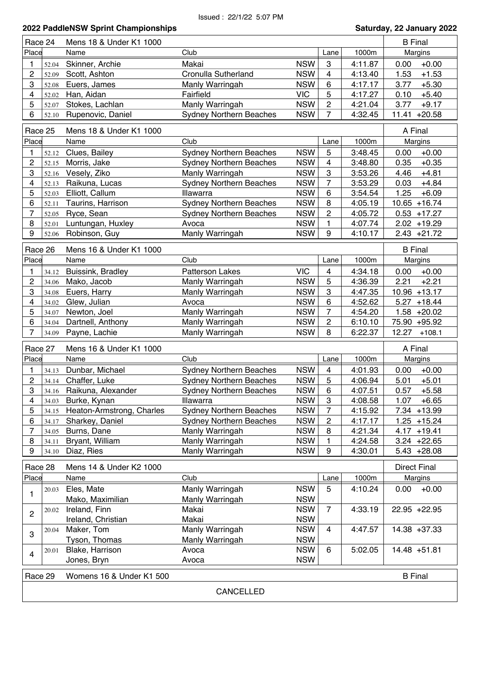| Race 24<br>Mens 18 & Under K1 1000 |                |                                 |                                    |                          | <b>B</b> Final               |                    |                                |
|------------------------------------|----------------|---------------------------------|------------------------------------|--------------------------|------------------------------|--------------------|--------------------------------|
| Place                              |                | Name                            | Club                               |                          | Lane                         | 1000m              | Margins                        |
|                                    | 52.04          | Skinner, Archie                 | Makai                              | <b>NSW</b>               | 3                            | 4:11.87            | $+0.00$<br>0.00                |
| $\overline{c}$                     | 52.09          | Scott, Ashton                   | Cronulla Sutherland                | <b>NSW</b>               | 4                            | 4:13.40            | 1.53<br>$+1.53$                |
| 3                                  | 52.08          | Euers, James                    | Manly Warringah                    | <b>NSW</b>               | 6                            | 4:17.17            | $+5.30$<br>3.77                |
| 4                                  | 52.02          | Han, Aidan                      | Fairfield                          | <b>VIC</b>               | 5                            | 4:17.27            | $+5.40$<br>0.10                |
| 5                                  | 52.07          | Stokes, Lachlan                 | Manly Warringah                    | <b>NSW</b>               | $\boldsymbol{2}$             | 4:21.04            | 3.77<br>$+9.17$                |
| 6                                  | 52.10          | Rupenovic, Daniel               | <b>Sydney Northern Beaches</b>     | <b>NSW</b>               | $\overline{7}$               | 4:32.45            | $11.41 + 20.58$                |
| Race 25                            |                | Mens 18 & Under K1 1000         |                                    |                          |                              |                    | A Final                        |
| Place                              |                | Name                            | Club                               |                          | Lane                         | 1000m              | Margins                        |
| 1                                  | 52.12          | Clues, Bailey                   | <b>Sydney Northern Beaches</b>     | <b>NSW</b>               | 5                            | 3:48.45            | $+0.00$<br>0.00                |
| $\overline{c}$                     | 52.15          | Morris, Jake                    | <b>Sydney Northern Beaches</b>     | <b>NSW</b>               | 4                            | 3:48.80            | $+0.35$<br>0.35                |
| 3                                  | 52.16          | Vesely, Ziko                    | Manly Warringah                    | <b>NSW</b>               | $\boldsymbol{3}$             | 3:53.26            | $+4.81$<br>4.46                |
| 4                                  | 52.13          | Raikuna, Lucas                  | <b>Sydney Northern Beaches</b>     | <b>NSW</b>               | $\overline{7}$               | 3:53.29            | 0.03<br>$+4.84$                |
| 5                                  | 52.03          | Elliott, Callum                 | Illawarra                          | <b>NSW</b>               | $\,6$                        | 3:54.54            | $+6.09$<br>1.25                |
| 6                                  | 52.11          | Taurins, Harrison               | <b>Sydney Northern Beaches</b>     | <b>NSW</b>               | 8                            | 4:05.19            | $10.65 + 16.74$                |
| $\overline{7}$                     | 52.05          | Ryce, Sean                      | <b>Sydney Northern Beaches</b>     | <b>NSW</b>               | $\overline{c}$               | 4:05.72            | $0.53 + 17.27$                 |
| 8                                  | 52.01          | Luntungan, Huxley               | Avoca                              | <b>NSW</b>               | 1                            | 4:07.74            | $2.02 + 19.29$                 |
| 9                                  | 52.06          | Robinson, Guy                   | Manly Warringah                    | <b>NSW</b>               | 9                            | 4:10.17            | $2.43 +21.72$                  |
| Race 26                            |                |                                 |                                    |                          |                              |                    |                                |
|                                    |                | Mens 16 & Under K1 1000         |                                    |                          |                              |                    | <b>B</b> Final                 |
| Place                              |                | Name                            | Club                               |                          | Lane                         | 1000m              | <b>Margins</b>                 |
| 1                                  | 34.12          | Buissink, Bradley               | <b>Patterson Lakes</b>             | <b>VIC</b>               | 4                            | 4:34.18            | $+0.00$<br>0.00                |
| $\overline{c}$                     | 34.06          | Mako, Jacob                     | Manly Warringah                    | <b>NSW</b>               | 5                            | 4:36.39            | 2.21<br>$+2.21$                |
| 3                                  | 34.08          | Euers, Harry                    | Manly Warringah                    | <b>NSW</b>               | $\boldsymbol{3}$             | 4:47.35            | $10.96 + 13.17$                |
| 4                                  | 34.02          | Glew, Julian                    | Avoca                              | <b>NSW</b>               | 6                            | 4:52.62            | 5.27<br>$+18.44$               |
| 5                                  | 34.07          | Newton, Joel                    | Manly Warringah                    | <b>NSW</b>               | 7                            | 4:54.20            | $1.58 + 20.02$                 |
|                                    |                |                                 |                                    |                          |                              |                    |                                |
| 6                                  | 34.04          | Dartnell, Anthony               | Manly Warringah                    | <b>NSW</b>               | $\overline{c}$               | 6:10.10            | 75.90 +95.92                   |
| 7                                  | 34.09          | Payne, Lachie                   | Manly Warringah                    | <b>NSW</b>               | 8                            | 6:22.37            | 12.27<br>$+108.1$              |
| Race 27                            |                | Mens 16 & Under K1 1000         |                                    |                          |                              |                    | A Final                        |
| Place                              |                | Name                            | Club                               |                          | Lane                         | 1000m              | Margins                        |
| 1                                  |                |                                 |                                    | <b>NSW</b>               |                              |                    |                                |
| $\overline{c}$                     | 34.13<br>34.14 | Dunbar, Michael                 | <b>Sydney Northern Beaches</b>     |                          | $\overline{\mathbf{4}}$<br>5 | 4:01.93            | 0.00<br>$+0.00$                |
| 3                                  |                | Chaffer, Luke                   | <b>Sydney Northern Beaches</b>     | <b>NSW</b>               |                              | 4:06.94            | 5.01<br>$+5.01$                |
|                                    |                | 34.16 Raikuna, Alexander        | <b>Sydney Northern Beaches</b>     | <b>NSW</b>               | 6                            | 4:07.51            | 0.57<br>$+5.58$                |
| 4                                  | 34.03          | Burke, Kynan                    | Illawarra                          | <b>NSW</b>               | 3<br>$\overline{7}$          | 4:08.58            | 1.07<br>$+6.65$                |
| 5                                  |                | 34.15 Heaton-Armstrong, Charles | <b>Sydney Northern Beaches</b>     | <b>NSW</b>               |                              | 4:15.92            | 7.34 +13.99                    |
| 6<br>7                             | 34.17          | Sharkey, Daniel                 | <b>Sydney Northern Beaches</b>     | <b>NSW</b>               | $\overline{c}$               | 4:17.17            | $1.25 + 15.24$                 |
| 8                                  | 34.05          | Burns, Dane                     | Manly Warringah                    | <b>NSW</b>               | 8<br>1                       | 4:21.34            | $4.17 + 19.41$                 |
| 9                                  | 34.11<br>34.10 | Bryant, William<br>Diaz, Ries   | Manly Warringah<br>Manly Warringah | <b>NSW</b><br><b>NSW</b> | 9                            | 4:24.58<br>4:30.01 | $3.24 +22.65$<br>$5.43 +28.08$ |
|                                    |                |                                 |                                    |                          |                              |                    |                                |
| Race 28                            |                | Mens 14 & Under K2 1000<br>Name | Club                               |                          |                              |                    | <b>Direct Final</b>            |
| Place                              | 20.03          | Eles, Mate                      | Manly Warringah                    | <b>NSW</b>               | Lane<br>5                    | 1000m<br>4:10.24   | Margins<br>$+0.00$<br>0.00     |
| 1                                  |                | Mako, Maximilian                | Manly Warringah                    | <b>NSW</b>               |                              |                    |                                |
| 2                                  | 20.02          | Ireland, Finn                   | Makai                              | <b>NSW</b>               | $\overline{7}$               | 4:33.19            | 22.95 +22.95                   |
|                                    |                | Ireland, Christian              | Makai                              | <b>NSW</b>               |                              |                    |                                |
| 3                                  | 20.04          | Maker, Tom                      | Manly Warringah                    | <b>NSW</b>               | 4                            | 4:47.57            | 14.38 +37.33                   |
|                                    |                | Tyson, Thomas                   | Manly Warringah                    | <b>NSW</b>               |                              |                    |                                |
| 4                                  | 20.01          | Blake, Harrison                 | Avoca                              | <b>NSW</b>               | 6                            | 5:02.05            | 14.48 +51.81                   |
|                                    |                | Jones, Bryn                     | Avoca                              | <b>NSW</b>               |                              |                    |                                |
| Race 29                            |                | Womens 16 & Under K1 500        |                                    |                          |                              |                    | <b>B</b> Final                 |
|                                    |                |                                 | CANCELLED                          |                          |                              |                    |                                |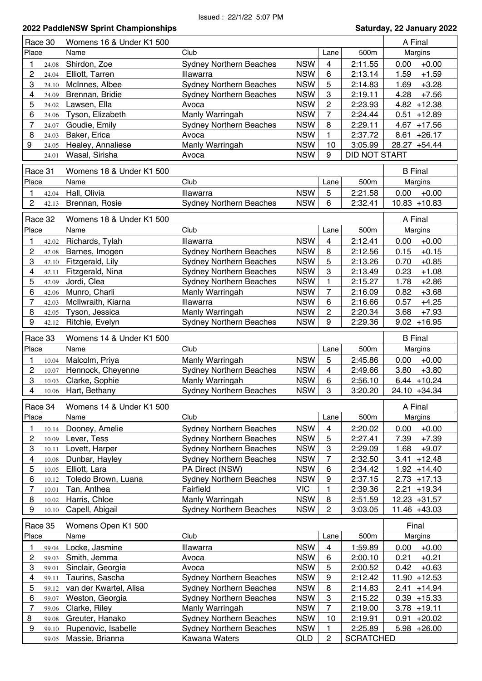| Race 30             |                | Womens 16 & Under K1 500                  |                                                                  |                          | A Final                       |                    |                                       |
|---------------------|----------------|-------------------------------------------|------------------------------------------------------------------|--------------------------|-------------------------------|--------------------|---------------------------------------|
| Place               |                | Name                                      | Club                                                             |                          | Lane                          | 500m               | Margins                               |
| 1                   | 24.08          | Shirdon, Zoe                              | <b>Sydney Northern Beaches</b>                                   | <b>NSW</b>               | $\overline{4}$                | 2:11.55            | $+0.00$<br>0.00                       |
| $\overline{c}$      | 24.04          | Elliott, Tarren                           | Illawarra                                                        | <b>NSW</b>               | $\,6$                         | 2:13.14            | 1.59<br>$+1.59$                       |
| 3                   | 24.10          | McInnes, Albee                            | <b>Sydney Northern Beaches</b>                                   | <b>NSW</b>               | 5                             | 2:14.83            | $+3.28$<br>1.69                       |
| 4                   | 24.09          | Brennan, Bridie                           | <b>Sydney Northern Beaches</b>                                   | <b>NSW</b>               | 3                             | 2:19.11            | 4.28<br>$+7.56$                       |
| 5                   | 24.02          | Lawsen, Ella                              | Avoca                                                            | <b>NSW</b>               | $\overline{c}$                | 2:23.93            | $4.82 + 12.38$                        |
| 6                   | 24.06          | Tyson, Elizabeth                          | Manly Warringah                                                  | <b>NSW</b>               | $\overline{7}$                | 2:24.44            | $+12.89$<br>0.51                      |
| 7                   | 24.07          | Goudie, Emily                             | <b>Sydney Northern Beaches</b>                                   | <b>NSW</b>               | 8                             | 2:29.11            | $4.67 + 17.56$                        |
| 8                   | 24.03          | Baker, Erica                              | Avoca                                                            | <b>NSW</b>               | 1                             | 2:37.72            | 8.61<br>$+26.17$                      |
| 9                   | 24.05          | Healey, Annaliese                         | Manly Warringah                                                  | <b>NSW</b>               | 10                            | 3:05.99            | 28.27 +54.44                          |
|                     | 24.01          | Wasal, Sirisha                            | Avoca                                                            | <b>NSW</b>               | 9                             | DID NOT START      |                                       |
|                     |                |                                           |                                                                  |                          |                               |                    |                                       |
| Race 31             |                | Womens 18 & Under K1 500                  |                                                                  |                          |                               |                    | <b>B</b> Final                        |
| Place               |                | Name                                      | Club                                                             |                          | Lane                          | 500m               | <b>Margins</b>                        |
| 1                   | 42.04          | Hall, Olivia                              | Illawarra                                                        | <b>NSW</b>               | 5                             | 2:21.58            | 0.00<br>$+0.00$                       |
| $\overline{c}$      | 42.13          | Brennan, Rosie                            | <b>Sydney Northern Beaches</b>                                   | <b>NSW</b>               | 6                             | 2:32.41            | $10.83 + 10.83$                       |
| Race 32             |                | Womens 18 & Under K1 500                  |                                                                  |                          |                               |                    | A Final                               |
| Place               |                | Name                                      | Club                                                             |                          | Lane                          | 500m               | Margins                               |
| 1                   | 42.02          | Richards, Tylah                           | Illawarra                                                        | <b>NSW</b>               | 4                             | 2:12.41            | $+0.00$<br>0.00                       |
| $\overline{c}$      | 42.08          | Barnes, Imogen                            | <b>Sydney Northern Beaches</b>                                   | <b>NSW</b>               | 8                             | 2:12.56            | 0.15<br>$+0.15$                       |
| 3                   | 42.10          | Fitzgerald, Lily                          | <b>Sydney Northern Beaches</b>                                   | <b>NSW</b>               | 5                             | 2:13.26            | 0.70<br>$+0.85$                       |
| 4                   | 42.11          | Fitzgerald, Nina                          | <b>Sydney Northern Beaches</b>                                   | <b>NSW</b>               | 3                             | 2:13.49            | 0.23<br>$+1.08$                       |
| 5                   | 42.09          | Jordi, Clea                               | <b>Sydney Northern Beaches</b>                                   | <b>NSW</b>               | 1                             | 2:15.27            | 1.78<br>$+2.86$                       |
| 6                   | 42.06          | Munro, Charli                             | Manly Warringah                                                  | <b>NSW</b>               | $\overline{7}$                | 2:16.09            | 0.82<br>$+3.68$                       |
| $\overline{7}$      | 42.03          | McIlwraith, Kiarna                        | Illawarra                                                        | <b>NSW</b>               | 6                             | 2:16.66            | 0.57<br>$+4.25$                       |
| 8                   | 42.05          | Tyson, Jessica                            | Manly Warringah                                                  | <b>NSW</b>               | $\overline{c}$                | 2:20.34            | $+7.93$<br>3.68                       |
| 9                   | 42.12          | Ritchie, Evelyn                           | <b>Sydney Northern Beaches</b>                                   | <b>NSW</b>               | 9                             | 2:29.36            | $9.02 + 16.95$                        |
|                     |                |                                           |                                                                  |                          |                               |                    |                                       |
| Race 33             |                | Womens 14 & Under K1 500                  |                                                                  |                          |                               |                    | <b>B</b> Final                        |
| Place               |                | Name                                      | Club                                                             |                          | Lane                          | 500m               | Margins                               |
| 1                   | 10.04          | Malcolm, Priya                            | Manly Warringah                                                  | <b>NSW</b>               | 5                             | 2:45.86            | 0.00<br>$+0.00$                       |
| $\overline{c}$      | 10.07          | Hennock, Cheyenne                         | <b>Sydney Northern Beaches</b>                                   | <b>NSW</b>               | 4                             | 2:49.66            | $+3.80$<br>3.80                       |
| 3                   | 10.03          | Clarke, Sophie                            | Manly Warringah                                                  | <b>NSW</b>               | 6                             | 2:56.10            | $6.44 + 10.24$                        |
| 4                   | 10.06          | Hart, Bethany                             | <b>Sydney Northern Beaches</b>                                   | <b>NSW</b>               | 3                             | 3:20.20            | 24.10 +34.34                          |
|                     |                |                                           |                                                                  |                          |                               |                    |                                       |
| Race 34             |                | Womens 14 & Under K1 500                  |                                                                  |                          |                               |                    | A Final                               |
| Place               |                | Name                                      | Club                                                             |                          | Lane                          | 500m               | Margins                               |
| 1                   | 10.14          | Dooney, Amelie                            | <b>Sydney Northern Beaches</b>                                   | <b>NSW</b>               | $\overline{\mathbf{4}}$       | 2:20.02            | 0.00<br>$+0.00$                       |
| $\boldsymbol{2}$    | 10.09          | Lever, Tess                               | <b>Sydney Northern Beaches</b>                                   | <b>NSW</b>               | 5                             | 2:27.41            | 7.39<br>$+7.39$                       |
| 3                   | 10.11          | Lovett, Harper                            | <b>Sydney Northern Beaches</b>                                   | <b>NSW</b>               | $\boldsymbol{3}$              | 2:29.09            | 1.68<br>$+9.07$                       |
| 4                   | 10.08          | Dunbar, Hayley                            | <b>Sydney Northern Beaches</b>                                   | <b>NSW</b>               | $\overline{7}$                | 2:32.50            | $+12.48$<br>3.41                      |
| 5                   | 10.05          | Elliott, Lara                             | PA Direct (NSW)                                                  | <b>NSW</b>               | $\,6$                         | 2:34.42            | $1.92 + 14.40$                        |
| 6                   | 10.12          | Toledo Brown, Luana                       | <b>Sydney Northern Beaches</b>                                   | <b>NSW</b>               | 9                             | 2:37.15            | $2.73 + 17.13$                        |
| 7                   | 10.01          | Tan, Anthea                               | Fairfield                                                        | <b>VIC</b>               | 1                             | 2:39.36            | 2.21<br>$+19.34$                      |
| 8                   | 10.02          | Harris, Chloe                             | Manly Warringah                                                  | <b>NSW</b>               | 8                             | 2:51.59            | 12.23 +31.57                          |
| 9                   | 10.10          | Capell, Abigail                           | <b>Sydney Northern Beaches</b>                                   | <b>NSW</b>               | $\overline{c}$                | 3:03.05            | 11.46 +43.03                          |
| Race 35             |                | Womens Open K1 500                        |                                                                  |                          |                               |                    | Final                                 |
| Place               |                | Name                                      | Club                                                             |                          | Lane                          | 500m               | Margins                               |
|                     |                |                                           |                                                                  | <b>NSW</b>               |                               |                    |                                       |
| 1<br>$\overline{c}$ | 99.04<br>99.03 | Locke, Jasmine<br>Smith, Jemma            | Illawarra<br>Avoca                                               | <b>NSW</b>               | $\overline{\mathcal{A}}$<br>6 | 1:59.89<br>2:00.10 | 0.00<br>$+0.00$<br>0.21<br>$+0.21$    |
| 3                   | 99.01          |                                           |                                                                  | <b>NSW</b>               |                               |                    | 0.42                                  |
|                     |                | Sinclair, Georgia                         | Avoca                                                            | <b>NSW</b>               | 5                             | 2:00.52            | $+0.63$                               |
| 4<br>5              | 99.11          | Taurins, Sascha<br>van der Kwartel, Alisa | <b>Sydney Northern Beaches</b><br><b>Sydney Northern Beaches</b> | <b>NSW</b>               | 9<br>8                        | 2:12.42<br>2:14.83 | 11.90<br>$+12.53$<br>2.41<br>$+14.94$ |
|                     | 99.12          |                                           |                                                                  | <b>NSW</b>               | $\ensuremath{\mathsf{3}}$     |                    |                                       |
| 6                   | 99.07          | Weston, Georgia                           | <b>Sydney Northern Beaches</b>                                   |                          | $\overline{7}$                | 2:15.22            | $0.39 + 15.33$                        |
| 7<br>8              | 99.06          | Clarke, Riley                             | Manly Warringah                                                  | <b>NSW</b><br><b>NSW</b> | 10                            | 2:19.00<br>2:19.91 | $3.78 + 19.11$<br>0.91<br>$+20.02$    |
| 9                   | 99.08          | Greuter, Hanako<br>Rupenovic, Isabelle    | <b>Sydney Northern Beaches</b><br><b>Sydney Northern Beaches</b> | <b>NSW</b>               |                               | 2:25.89            | $5.98 +26.00$                         |
|                     | 99.10          |                                           |                                                                  |                          | 1<br>$\overline{c}$           |                    |                                       |
|                     | 99.05          | Massie, Brianna                           | Kawana Waters                                                    | QLD                      |                               | <b>SCRATCHED</b>   |                                       |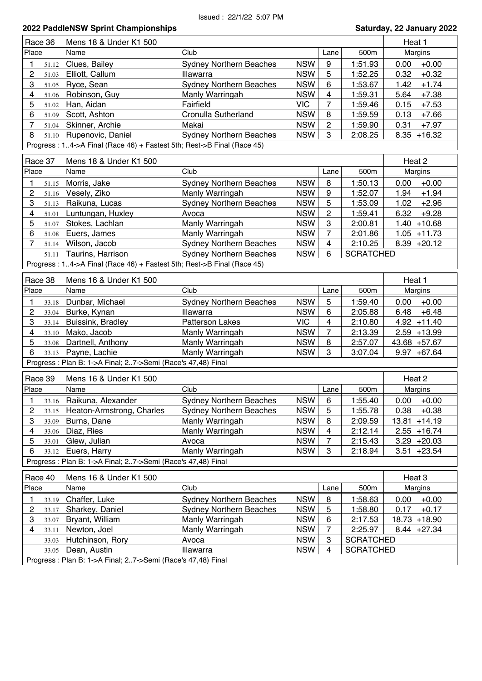| Margins<br>$+0.00$<br>0.00<br>0.32<br>$+0.32$<br>1.42<br>$+1.74$<br>5.64<br>$+7.38$<br>0.15<br>$+7.53$<br>0.13<br>$+7.66$<br>0.31<br>$+7.97$<br>$8.35 + 16.32$ |  |  |  |  |  |  |  |
|----------------------------------------------------------------------------------------------------------------------------------------------------------------|--|--|--|--|--|--|--|
|                                                                                                                                                                |  |  |  |  |  |  |  |
|                                                                                                                                                                |  |  |  |  |  |  |  |
|                                                                                                                                                                |  |  |  |  |  |  |  |
|                                                                                                                                                                |  |  |  |  |  |  |  |
|                                                                                                                                                                |  |  |  |  |  |  |  |
|                                                                                                                                                                |  |  |  |  |  |  |  |
|                                                                                                                                                                |  |  |  |  |  |  |  |
|                                                                                                                                                                |  |  |  |  |  |  |  |
|                                                                                                                                                                |  |  |  |  |  |  |  |
|                                                                                                                                                                |  |  |  |  |  |  |  |
| Heat 2                                                                                                                                                         |  |  |  |  |  |  |  |
| Margins                                                                                                                                                        |  |  |  |  |  |  |  |
| $+0.00$<br>0.00                                                                                                                                                |  |  |  |  |  |  |  |
| $+1.94$<br>1.94                                                                                                                                                |  |  |  |  |  |  |  |
| $+2.96$<br>1.02                                                                                                                                                |  |  |  |  |  |  |  |
| 6.32<br>$+9.28$                                                                                                                                                |  |  |  |  |  |  |  |
| $1.40 + 10.68$                                                                                                                                                 |  |  |  |  |  |  |  |
| $1.05 + 11.73$                                                                                                                                                 |  |  |  |  |  |  |  |
| $8.39 +20.12$                                                                                                                                                  |  |  |  |  |  |  |  |
|                                                                                                                                                                |  |  |  |  |  |  |  |
|                                                                                                                                                                |  |  |  |  |  |  |  |
| Progress: 14->A Final (Race 46) + Fastest 5th; Rest->B Final (Race 45)<br>Race 38<br>Mens 16 & Under K1 500                                                    |  |  |  |  |  |  |  |
| Heat 1                                                                                                                                                         |  |  |  |  |  |  |  |
| <b>Margins</b>                                                                                                                                                 |  |  |  |  |  |  |  |
| $+0.00$<br>0.00                                                                                                                                                |  |  |  |  |  |  |  |
| 6.48<br>$+6.48$                                                                                                                                                |  |  |  |  |  |  |  |
| $4.92 + 11.40$                                                                                                                                                 |  |  |  |  |  |  |  |
| $2.59 + 13.99$                                                                                                                                                 |  |  |  |  |  |  |  |
| 43.68 +57.67                                                                                                                                                   |  |  |  |  |  |  |  |
| $9.97 + 67.64$                                                                                                                                                 |  |  |  |  |  |  |  |
|                                                                                                                                                                |  |  |  |  |  |  |  |
| Heat 2                                                                                                                                                         |  |  |  |  |  |  |  |
| Margins                                                                                                                                                        |  |  |  |  |  |  |  |
| $0.00 + 0.00$                                                                                                                                                  |  |  |  |  |  |  |  |
| $+0.38$<br>0.38                                                                                                                                                |  |  |  |  |  |  |  |
| 13.81 +14.19                                                                                                                                                   |  |  |  |  |  |  |  |
| $2.55 + 16.74$                                                                                                                                                 |  |  |  |  |  |  |  |
| $3.29 +20.03$                                                                                                                                                  |  |  |  |  |  |  |  |
| $3.51 + 23.54$                                                                                                                                                 |  |  |  |  |  |  |  |
|                                                                                                                                                                |  |  |  |  |  |  |  |
| Heat 3                                                                                                                                                         |  |  |  |  |  |  |  |
| Margins                                                                                                                                                        |  |  |  |  |  |  |  |
| $+0.00$<br>0.00                                                                                                                                                |  |  |  |  |  |  |  |
| $+0.17$<br>0.17                                                                                                                                                |  |  |  |  |  |  |  |
| 18.73 +18.90                                                                                                                                                   |  |  |  |  |  |  |  |
| 8.44 +27.34                                                                                                                                                    |  |  |  |  |  |  |  |
|                                                                                                                                                                |  |  |  |  |  |  |  |
|                                                                                                                                                                |  |  |  |  |  |  |  |
|                                                                                                                                                                |  |  |  |  |  |  |  |
| <b>SCRATCHED</b><br><b>SCRATCHED</b><br><b>SCRATCHED</b>                                                                                                       |  |  |  |  |  |  |  |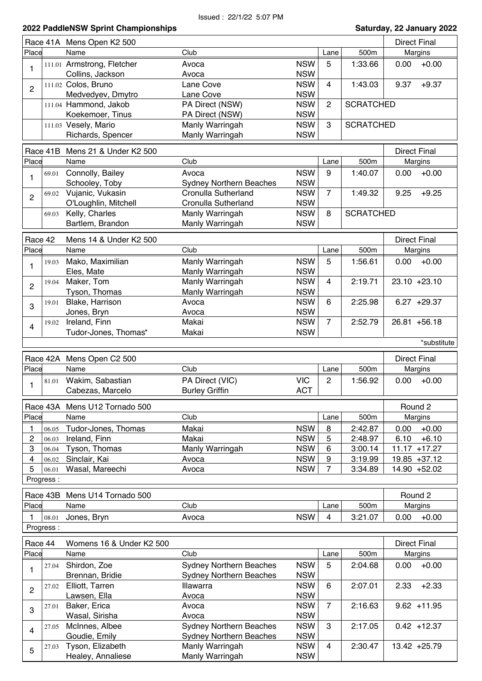|                |           | Race 41A Mens Open K2 500             |                                    |                          |                |                  | <b>Direct Final</b> |  |
|----------------|-----------|---------------------------------------|------------------------------------|--------------------------|----------------|------------------|---------------------|--|
| Place          |           | Name                                  | Club                               |                          | Lane           | 500m             | Margins             |  |
| 1              |           | 111.01 Armstrong, Fletcher            | Avoca                              | <b>NSW</b>               | 5              | 1:33.66          | $+0.00$<br>0.00     |  |
|                |           | Collins, Jackson                      | Avoca                              | <b>NSW</b>               |                |                  |                     |  |
|                |           | 111.02 Colos, Bruno                   | Lane Cove                          | <b>NSW</b>               | 4              | 1:43.03          | $+9.37$<br>9.37     |  |
| 2              |           | Medvedyev, Dmytro                     | Lane Cove                          | <b>NSW</b>               |                |                  |                     |  |
|                |           | 111.04 Hammond, Jakob                 | PA Direct (NSW)                    | <b>NSW</b>               | $\mathbf{2}$   | <b>SCRATCHED</b> |                     |  |
|                |           | Koekemoer, Tinus                      | PA Direct (NSW)                    | <b>NSW</b>               |                |                  |                     |  |
|                |           | 111.03 Vesely, Mario                  | Manly Warringah                    | <b>NSW</b>               | 3              | <b>SCRATCHED</b> |                     |  |
|                |           | Richards, Spencer                     | Manly Warringah                    | <b>NSW</b>               |                |                  |                     |  |
|                |           |                                       |                                    |                          |                |                  |                     |  |
|                | Race 41B  | Mens 21 & Under K2 500                |                                    |                          |                |                  | <b>Direct Final</b> |  |
| Place          |           | Name                                  | Club                               |                          | Lane           | 500m             | Margins             |  |
|                | 69.01     | Connolly, Bailey                      | Avoca                              | <b>NSW</b>               | 9              | 1:40.07          | $+0.00$<br>0.00     |  |
| 1              |           | Schooley, Toby                        | <b>Sydney Northern Beaches</b>     | <b>NSW</b>               |                |                  |                     |  |
|                | 69.02     | Vujanic, Vukasin                      | Cronulla Sutherland                | <b>NSW</b>               | $\overline{7}$ | 1:49.32          | $+9.25$<br>9.25     |  |
| $\overline{2}$ |           | O'Loughlin, Mitchell                  | Cronulla Sutherland                | <b>NSW</b>               |                |                  |                     |  |
|                | 69.03     | Kelly, Charles                        | Manly Warringah                    | <b>NSW</b>               | 8              | <b>SCRATCHED</b> |                     |  |
|                |           | Bartlem, Brandon                      | Manly Warringah                    | <b>NSW</b>               |                |                  |                     |  |
|                |           |                                       |                                    |                          |                |                  |                     |  |
|                | Race 42   | Mens 14 & Under K2 500                |                                    |                          |                |                  | <b>Direct Final</b> |  |
| Place          |           | Name                                  | Club                               |                          | Lane           | 500m             | Margins             |  |
|                | 19.03     | Mako, Maximilian                      | Manly Warringah                    | <b>NSW</b>               | 5              | 1:56.61          | $+0.00$<br>0.00     |  |
| 1              |           | Eles, Mate                            | Manly Warringah                    | <b>NSW</b>               |                |                  |                     |  |
|                | 19.04     | Maker, Tom                            | Manly Warringah                    | <b>NSW</b>               | $\overline{4}$ | 2:19.71          | $23.10 + 23.10$     |  |
| $\overline{2}$ |           | Tyson, Thomas                         | Manly Warringah                    | <b>NSW</b>               |                |                  |                     |  |
|                | 19.01     | Blake, Harrison                       | Avoca                              | <b>NSW</b>               | 6              | 2:25.98          | $6.27 +29.37$       |  |
| 3              |           | Jones, Bryn                           | Avoca                              | <b>NSW</b>               |                |                  |                     |  |
|                | 19.02     | Ireland, Finn                         | Makai                              | <b>NSW</b>               | $\overline{7}$ | 2:52.79          | $26.81 + 56.18$     |  |
| 4              |           | Tudor-Jones, Thomas*                  | Makai                              | <b>NSW</b>               |                |                  |                     |  |
|                |           |                                       |                                    |                          |                |                  | *substitute         |  |
|                |           |                                       |                                    |                          |                |                  |                     |  |
|                | Race 42A  | Mens Open C2 500                      |                                    |                          |                |                  | <b>Direct Final</b> |  |
| Place          |           | Name                                  | Club                               |                          | Lane           | 500m             | Margins             |  |
|                | 81.01     | Wakim, Sabastian                      | PA Direct (VIC)                    | <b>VIC</b>               | $\overline{2}$ | 1:56.92          | 0.00<br>$+0.00$     |  |
| 1              |           | Cabezas, Marcelo                      | <b>Burley Griffin</b>              | <b>ACT</b>               |                |                  |                     |  |
|                |           |                                       |                                    |                          |                |                  |                     |  |
|                |           | Race 43A Mens U12 Tornado 500         |                                    |                          |                |                  | Round 2             |  |
| Place          |           | Name                                  | Club                               |                          | Lane           | 500m             | Margins             |  |
| 1              | 06.05     | Tudor-Jones, Thomas                   | Makai                              | <b>NSW</b>               | 8              | 2:42.87          | $+0.00$<br>0.00     |  |
| 2              | 06.03     | Ireland, Finn                         | Makai                              | <b>NSW</b>               | 5              | 2:48.97          | 6.10<br>$+6.10$     |  |
| 3              | 06.04     | Tyson, Thomas                         | Manly Warringah                    | <b>NSW</b>               | $\,6$          | 3:00.14          | $11.17 + 17.27$     |  |
| 4              | 06.02     | Sinclair, Kai                         | Avoca                              | <b>NSW</b>               | 9              | 3:19.99          | 19.85 +37.12        |  |
| 5              | 06.01     | Wasal, Mareechi                       | Avoca                              | <b>NSW</b>               | $\overline{7}$ | 3:34.89          | 14.90 +52.02        |  |
|                | Progress: |                                       |                                    |                          |                |                  |                     |  |
|                |           |                                       |                                    |                          |                |                  |                     |  |
|                | Race 43B  | Mens U14 Tornado 500                  |                                    |                          |                |                  | Round 2             |  |
| Place          |           | Name                                  | Club                               |                          | Lane           | 500m             | Margins             |  |
| 1              | 08.01     | Jones, Bryn                           | Avoca                              | <b>NSW</b>               | $\overline{4}$ | 3:21.07          | $+0.00$<br>0.00     |  |
|                | Progress: |                                       |                                    |                          |                |                  |                     |  |
|                |           |                                       |                                    |                          |                |                  |                     |  |
|                | Race 44   | Womens 16 & Under K2 500              |                                    |                          |                |                  | <b>Direct Final</b> |  |
| Place          |           |                                       |                                    |                          |                |                  |                     |  |
|                |           | Name                                  | Club                               |                          | Lane           | 500m             | Margins             |  |
|                | 27.04     | Shirdon, Zoe                          | <b>Sydney Northern Beaches</b>     | <b>NSW</b>               | 5              | 2:04.68          | $+0.00$<br>0.00     |  |
| 1              |           | Brennan, Bridie                       | <b>Sydney Northern Beaches</b>     | <b>NSW</b>               |                |                  |                     |  |
|                | 27.02     | Elliott, Tarren                       | Illawarra                          | <b>NSW</b>               | 6              | 2:07.01          | $+2.33$<br>2.33     |  |
| $\overline{c}$ |           | Lawsen, Ella                          | Avoca                              | <b>NSW</b>               |                |                  |                     |  |
|                | 27.01     | Baker, Erica                          | Avoca                              | <b>NSW</b>               | $\overline{7}$ | 2:16.63          | $9.62 + 11.95$      |  |
| 3              |           | Wasal, Sirisha                        | Avoca                              | <b>NSW</b>               |                |                  |                     |  |
|                | 27.05     |                                       |                                    | <b>NSW</b>               | 3              | 2:17.05          | $0.42 + 12.37$      |  |
| 4              |           | McInnes, Albee                        | <b>Sydney Northern Beaches</b>     |                          |                |                  |                     |  |
|                |           | Goudie, Emily                         | <b>Sydney Northern Beaches</b>     | <b>NSW</b>               | 4              |                  |                     |  |
| 5              | 27.03     | Tyson, Elizabeth<br>Healey, Annaliese | Manly Warringah<br>Manly Warringah | <b>NSW</b><br><b>NSW</b> |                | 2:30.47          | 13.42 +25.79        |  |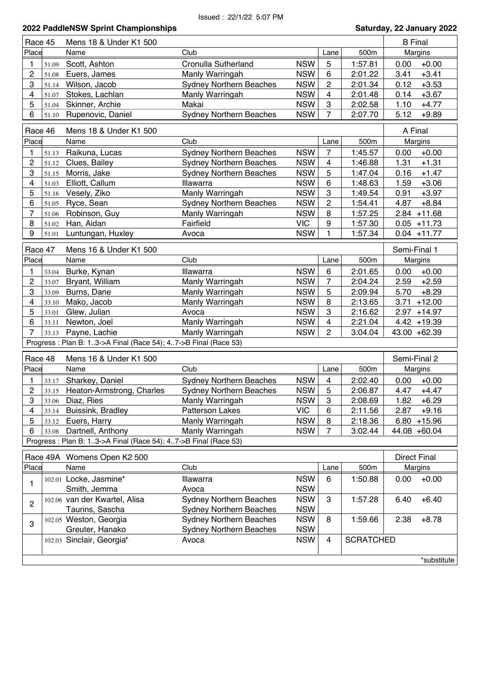| Race 45        |                                                   | Mens 18 & Under K1 500                                         |                                |            |                  | <b>B</b> Final   |                     |                |  |
|----------------|---------------------------------------------------|----------------------------------------------------------------|--------------------------------|------------|------------------|------------------|---------------------|----------------|--|
| Place          |                                                   | Name                                                           | Club                           |            | Lane             | 500m             |                     | Margins        |  |
| 1              | 51.09                                             | Scott, Ashton                                                  | Cronulla Sutherland            | <b>NSW</b> | 5                | 1:57.81          | 0.00                | $+0.00$        |  |
| $\overline{c}$ | 51.08                                             | Euers, James                                                   | Manly Warringah                | <b>NSW</b> | $6\phantom{1}6$  | 2:01.22          | 3.41                | $+3.41$        |  |
| 3              | 51.14                                             | Wilson, Jacob                                                  | <b>Sydney Northern Beaches</b> | <b>NSW</b> | $\overline{c}$   | 2:01.34          | 0.12                | $+3.53$        |  |
| 4              | 51.07                                             | Stokes, Lachlan                                                | Manly Warringah                | <b>NSW</b> | 4                | 2:01.48          | 0.14                | $+3.67$        |  |
| 5              | 51.04                                             | Skinner, Archie                                                | Makai                          | <b>NSW</b> | 3                | 2:02.58          | 1.10                | $+4.77$        |  |
| 6              | 51.10                                             | Rupenovic, Daniel                                              | <b>Sydney Northern Beaches</b> | <b>NSW</b> | 7                | 2:07.70          | 5.12                | $+9.89$        |  |
|                | A Final<br>Race 46                                |                                                                |                                |            |                  |                  |                     |                |  |
|                |                                                   | Mens 18 & Under K1 500                                         |                                |            |                  |                  |                     |                |  |
| Place          |                                                   | Name                                                           | Club                           |            | Lane             | 500m             |                     | Margins        |  |
| 1              | 51.13                                             | Raikuna, Lucas                                                 | <b>Sydney Northern Beaches</b> | <b>NSW</b> | 7                | 1:45.57          | 0.00                | $+0.00$        |  |
| 2              | 51.12                                             | Clues, Bailey                                                  | <b>Sydney Northern Beaches</b> | <b>NSW</b> | 4                | 1:46.88          | 1.31                | $+1.31$        |  |
| 3              | 51.15                                             | Morris, Jake                                                   | <b>Sydney Northern Beaches</b> | <b>NSW</b> | 5                | 1:47.04          | 0.16                | $+1.47$        |  |
| 4              | 51.03                                             | Elliott, Callum                                                | Illawarra                      | <b>NSW</b> | $\,6$            | 1:48.63          | 1.59                | $+3.06$        |  |
| 5              | 51.16                                             | Vesely, Ziko                                                   | Manly Warringah                | <b>NSW</b> | $\boldsymbol{3}$ | 1:49.54          | 0.91                | $+3.97$        |  |
| 6              | 51.05                                             | Ryce, Sean                                                     | <b>Sydney Northern Beaches</b> | <b>NSW</b> | $\overline{c}$   | 1:54.41          | 4.87                | $+8.84$        |  |
| 7              | 51.06                                             | Robinson, Guy                                                  | Manly Warringah                | <b>NSW</b> | 8                | 1:57.25          |                     | $2.84$ +11.68  |  |
| 8              | 51.02                                             | Han, Aidan                                                     | Fairfield                      | <b>VIC</b> | 9                | 1:57.30          |                     | $0.05 + 11.73$ |  |
| 9              | 51.01                                             | Luntungan, Huxley                                              | Avoca                          | <b>NSW</b> | 1                | 1:57.34          |                     | $0.04 + 11.77$ |  |
|                | Race 47<br>Mens 16 & Under K1 500<br>Semi-Final 1 |                                                                |                                |            |                  |                  |                     |                |  |
| Place          |                                                   | Name                                                           | Club                           |            | Lane             | 500m             |                     | Margins        |  |
| 1              | 33.04                                             | Burke, Kynan                                                   | Illawarra                      | <b>NSW</b> | $\,6$            | 2:01.65          | 0.00                | $+0.00$        |  |
| $\overline{c}$ | 33.07                                             | Bryant, William                                                | Manly Warringah                | <b>NSW</b> | $\overline{7}$   | 2:04.24          | 2.59                | $+2.59$        |  |
| 3              | 33.09                                             | Burns, Dane                                                    | Manly Warringah                | <b>NSW</b> | 5                | 2:09.94          | 5.70                | $+8.29$        |  |
| 4              | 33.10                                             | Mako, Jacob                                                    | Manly Warringah                | <b>NSW</b> | 8                | 2:13.65          | 3.71                | $+12.00$       |  |
| 5              | 33.01                                             | Glew, Julian                                                   | Avoca                          | <b>NSW</b> | 3                | 2:16.62          |                     | $2.97 + 14.97$ |  |
| 6              | 33.11                                             | Newton, Joel                                                   | Manly Warringah                | <b>NSW</b> | 4                | 2:21.04          |                     | $4.42 + 19.39$ |  |
| 7              | 33.13                                             | Payne, Lachie                                                  | Manly Warringah                | <b>NSW</b> | 2                | 3:04.04          |                     | 43.00 +62.39   |  |
|                |                                                   | Progress: Plan B: 13->A Final (Race 54); 47->B Final (Race 53) |                                |            |                  |                  |                     |                |  |
|                |                                                   |                                                                |                                |            |                  |                  |                     |                |  |
| Race 48        |                                                   | Mens 16 & Under K1 500                                         |                                |            |                  |                  | Semi-Final 2        |                |  |
| Place          |                                                   | Name                                                           | Club                           |            | Lane             | 500m             |                     | Margins        |  |
| 1              | 33.17                                             | Sharkey, Daniel                                                | <b>Sydney Northern Beaches</b> | <b>NSW</b> | $\overline{4}$   | 2:02.40          | 0.00                | $+0.00$        |  |
| $\overline{c}$ |                                                   | 33.15 Heaton-Armstrong, Charles                                | <b>Sydney Northern Beaches</b> | <b>NSW</b> | 5                | 2:06.87          | 4.47                | $+4.47$        |  |
| 3              |                                                   | 33.06 Diaz, Ries                                               | <b>Manly Warringah</b>         | <b>NSW</b> | 3                | 2:08.69          | 1.82                | $+6.29$        |  |
| 4              |                                                   | 33.14 Buissink, Bradley                                        | Patterson Lakes                | <b>VIC</b> | 6                | 2:11.56          |                     | $2.87 + 9.16$  |  |
| 5              | 33.12                                             | Euers, Harry                                                   | Manly Warringah                | <b>NSW</b> | 8                | 2:18.36          |                     | $6.80 + 15.96$ |  |
| 6              |                                                   | 33.08 Dartnell, Anthony                                        | Manly Warringah                | <b>NSW</b> | $\overline{7}$   | 3:02.44          |                     | 44.08 +60.04   |  |
|                |                                                   | Progress: Plan B: 13->A Final (Race 54); 47->B Final (Race 53) |                                |            |                  |                  |                     |                |  |
|                |                                                   |                                                                |                                |            |                  |                  |                     |                |  |
|                |                                                   | Race 49A Womens Open K2 500                                    |                                |            |                  |                  | <b>Direct Final</b> |                |  |
| Place          |                                                   | Name                                                           | Club                           |            | Lane             | 500m             |                     | Margins        |  |
| 1              |                                                   | 102.01 Locke, Jasmine*                                         | Illawarra                      | <b>NSW</b> | 6                | 1:50.88          | 0.00                | $+0.00$        |  |
|                |                                                   | Smith, Jemma                                                   | Avoca                          | <b>NSW</b> |                  |                  |                     |                |  |
| $\mathbf{2}$   |                                                   | 102.06 van der Kwartel, Alisa                                  | <b>Sydney Northern Beaches</b> | <b>NSW</b> | $\mathbf{3}$     | 1:57.28          | 6.40                | $+6.40$        |  |
|                |                                                   | Taurins, Sascha                                                | <b>Sydney Northern Beaches</b> | <b>NSW</b> |                  |                  |                     |                |  |
| 3              |                                                   | 102.05 Weston, Georgia                                         | <b>Sydney Northern Beaches</b> | <b>NSW</b> | 8                | 1:59.66          | 2.38                | $+8.78$        |  |
|                |                                                   | Greuter, Hanako                                                | <b>Sydney Northern Beaches</b> | <b>NSW</b> |                  |                  |                     |                |  |
|                |                                                   | 102.03 Sinclair, Georgia*                                      | Avoca                          | <b>NSW</b> | 4                | <b>SCRATCHED</b> |                     |                |  |
|                |                                                   |                                                                |                                |            |                  |                  |                     |                |  |
|                |                                                   |                                                                |                                |            |                  |                  |                     | *substitute    |  |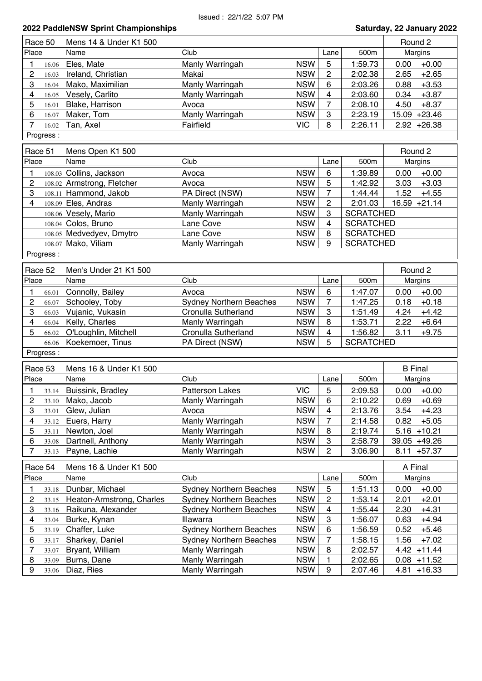| Race 50        |           | Mens 14 & Under K1 500     |                                |            |                         |                  | Round 2         |  |  |
|----------------|-----------|----------------------------|--------------------------------|------------|-------------------------|------------------|-----------------|--|--|
| Place          |           | Name                       | Club                           |            | Lane                    | 500m             | Margins         |  |  |
| 1              | 16.06     | Eles, Mate                 | Manly Warringah                | <b>NSW</b> | 5                       | 1:59.73          | $+0.00$<br>0.00 |  |  |
| $\overline{c}$ | 16.03     | Ireland, Christian         | Makai                          | <b>NSW</b> | $\overline{c}$          | 2:02.38          | $+2.65$<br>2.65 |  |  |
| 3              | 16.04     | Mako, Maximilian           | Manly Warringah                | <b>NSW</b> | 6                       | 2:03.26          | 0.88<br>$+3.53$ |  |  |
| 4              | 16.05     | Vesely, Carlito            | Manly Warringah                | <b>NSW</b> | 4                       | 2:03.60          | $+3.87$<br>0.34 |  |  |
| 5              | 16.01     | Blake, Harrison            | Avoca                          | <b>NSW</b> | 7                       | 2:08.10          | 4.50<br>$+8.37$ |  |  |
| 6              | 16.07     | Maker, Tom                 | Manly Warringah                | <b>NSW</b> | 3                       | 2:23.19          | 15.09 +23.46    |  |  |
| $\overline{7}$ | 16.02     | Tan, Axel                  | Fairfield                      | <b>VIC</b> | 8                       | 2:26.11          | $2.92 + 26.38$  |  |  |
|                | Progress: |                            |                                |            |                         |                  |                 |  |  |
|                |           |                            |                                |            |                         |                  |                 |  |  |
| Race 51        |           | Mens Open K1 500           |                                |            |                         |                  | Round 2         |  |  |
| Place          |           | Name                       | Club                           |            | Lane                    | 500m             | Margins         |  |  |
| 1.             |           | 108.03 Collins, Jackson    | Avoca                          | <b>NSW</b> | 6                       | 1:39.89          | $+0.00$<br>0.00 |  |  |
| 2              |           | 108.02 Armstrong, Fletcher | Avoca                          | <b>NSW</b> | 5                       | 1:42.92          | $+3.03$<br>3.03 |  |  |
| 3              |           | 108.11 Hammond, Jakob      | PA Direct (NSW)                | <b>NSW</b> | $\overline{7}$          | 1:44.44          | 1.52<br>$+4.55$ |  |  |
| $\overline{4}$ |           | 108.09 Eles, Andras        | Manly Warringah                | <b>NSW</b> | $\overline{c}$          | 2:01.03          | 16.59 +21.14    |  |  |
|                |           | 108.06 Vesely, Mario       | Manly Warringah                | <b>NSW</b> | 3                       | <b>SCRATCHED</b> |                 |  |  |
|                |           | 108.04 Colos, Bruno        | Lane Cove                      | <b>NSW</b> | 4                       | <b>SCRATCHED</b> |                 |  |  |
|                |           | 108.05 Medvedyev, Dmytro   | Lane Cove                      | <b>NSW</b> | 8                       | <b>SCRATCHED</b> |                 |  |  |
|                |           |                            |                                |            | 9                       |                  |                 |  |  |
|                |           | 108.07 Mako, Viliam        | Manly Warringah                | <b>NSW</b> |                         | <b>SCRATCHED</b> |                 |  |  |
|                | Progress: |                            |                                |            |                         |                  |                 |  |  |
| Race 52        |           | Men's Under 21 K1 500      |                                |            |                         |                  | Round 2         |  |  |
| Place          |           | Name                       | Club                           |            | Lane                    | 500m             | Margins         |  |  |
| 1              |           | Connolly, Bailey           | Avoca                          | <b>NSW</b> | 6                       | 1:47.07          | $+0.00$<br>0.00 |  |  |
| $\overline{c}$ | 66.01     | Schooley, Toby             | <b>Sydney Northern Beaches</b> | <b>NSW</b> | $\overline{7}$          | 1:47.25          | $+0.18$<br>0.18 |  |  |
|                | 66.07     |                            |                                |            |                         |                  |                 |  |  |
| 3              | 66.03     | Vujanic, Vukasin           | Cronulla Sutherland            | <b>NSW</b> | 3                       | 1:51.49          | $+4.42$<br>4.24 |  |  |
| 4              | 66.04     | Kelly, Charles             | Manly Warringah                | <b>NSW</b> | 8                       | 1:53.71          | 2.22<br>$+6.64$ |  |  |
| 5              | 66.02     | O'Loughlin, Mitchell       | Cronulla Sutherland            | <b>NSW</b> | 4                       | 1:56.82          | 3.11<br>$+9.75$ |  |  |
|                | 66.06     | Koekemoer, Tinus           | PA Direct (NSW)                | <b>NSW</b> | 5                       | <b>SCRATCHED</b> |                 |  |  |
|                | Progress: |                            |                                |            |                         |                  |                 |  |  |
| Race 53        |           | Mens 16 & Under K1 500     |                                |            |                         |                  | <b>B</b> Final  |  |  |
| Place          |           | Name                       | Club                           |            | Lane                    | 500m             | Margins         |  |  |
|                |           |                            | <b>Patterson Lakes</b>         | <b>VIC</b> |                         |                  | 0.00<br>$+0.00$ |  |  |
| 1              | 33.14     | Buissink, Bradley          |                                |            | 5                       | 2:09.53          |                 |  |  |
| $\mathcal{P}$  | 33.10     | Mako, Jacob                | Manly Warringah                | <b>NSW</b> | 6                       | 2:10.22          | 0.69<br>$+0.69$ |  |  |
| 3              | 33.01     | Glew, Julian               | Avoca                          | <b>NSW</b> | 4                       | 2:13.76          | 3.54<br>$+4.23$ |  |  |
| 4              | 33.12     | Euers, Harry               | Manly Warringah                | <b>NSW</b> | $\overline{7}$          | 2:14.58          | 0.82<br>$+5.05$ |  |  |
| 5              | 33.11     | Newton, Joel               | Manly Warringah                | <b>NSW</b> | 8                       | 2:19.74          | $5.16 + 10.21$  |  |  |
| 6              | 33.08     | Dartnell, Anthony          | Manly Warringah                | <b>NSW</b> | 3                       | 2:58.79          | 39.05 +49.26    |  |  |
| 7              | 33.13     | Payne, Lachie              | Manly Warringah                | <b>NSW</b> | $\overline{c}$          | 3:06.90          | $8.11 + 57.37$  |  |  |
| Race 54        |           | Mens 16 & Under K1 500     |                                |            |                         |                  | A Final         |  |  |
| Place          |           | Name                       | Club                           |            |                         | 500m             |                 |  |  |
|                |           |                            |                                |            | Lane                    |                  | Margins         |  |  |
| 1              | 33.18     | Dunbar, Michael            | <b>Sydney Northern Beaches</b> | <b>NSW</b> | $\sqrt{5}$              | 1:51.13          | $+0.00$<br>0.00 |  |  |
| $\overline{c}$ | 33.15     | Heaton-Armstrong, Charles  | <b>Sydney Northern Beaches</b> | <b>NSW</b> | $\overline{\mathbf{c}}$ | 1:53.14          | 2.01<br>$+2.01$ |  |  |
| 3              | 33.16     | Raikuna, Alexander         | <b>Sydney Northern Beaches</b> | <b>NSW</b> | 4                       | 1:55.44          | 2.30<br>$+4.31$ |  |  |
| 4              | 33.04     | Burke, Kynan               | Illawarra                      | <b>NSW</b> | 3                       | 1:56.07          | 0.63<br>$+4.94$ |  |  |
| 5              | 33.19     | Chaffer, Luke              | <b>Sydney Northern Beaches</b> | <b>NSW</b> | 6                       | 1:56.59          | 0.52<br>$+5.46$ |  |  |
| 6              | 33.17     | Sharkey, Daniel            | <b>Sydney Northern Beaches</b> | <b>NSW</b> | $\overline{7}$          | 1:58.15          | 1.56<br>$+7.02$ |  |  |
| 7              | 33.07     | Bryant, William            | Manly Warringah                | <b>NSW</b> | 8                       | 2:02.57          | $4.42 + 11.44$  |  |  |
| 8              | 33.09     | Burns, Dane                | Manly Warringah                | <b>NSW</b> | 1                       | 2:02.65          | $0.08 + 11.52$  |  |  |
| 9              | 33.06     | Diaz, Ries                 | Manly Warringah                | <b>NSW</b> | 9                       | 2:07.46          | $4.81 + 16.33$  |  |  |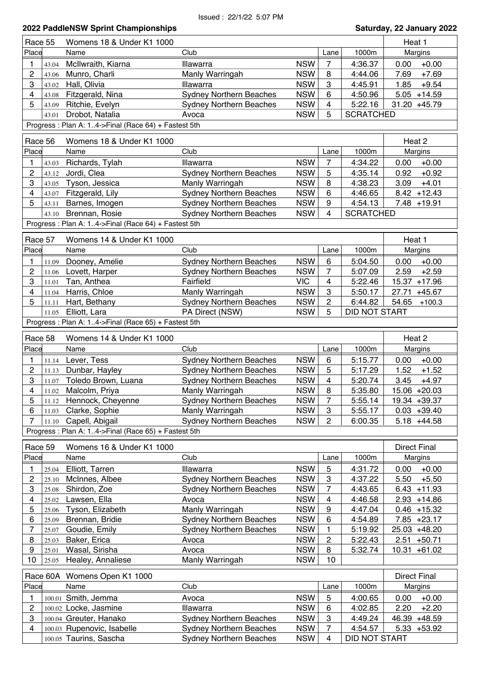| Saturday, 22 January 2022 |  |  |  |
|---------------------------|--|--|--|
|---------------------------|--|--|--|

|                         | 2022 PaddleNSW Sprint Championships<br>Saturday, 22 January 2022 |                                                     |                                                   |            |                         |                      |                                    |
|-------------------------|------------------------------------------------------------------|-----------------------------------------------------|---------------------------------------------------|------------|-------------------------|----------------------|------------------------------------|
| Race 55                 |                                                                  | Womens 18 & Under K1 1000                           |                                                   |            |                         |                      | Heat 1                             |
| Place                   |                                                                  | Name                                                | Club                                              |            | Lane                    | 1000m                | Margins                            |
| 1                       | 43.04                                                            | McIlwraith, Kiarna                                  | Illawarra                                         | <b>NSW</b> | 7                       | 4:36.37              | $+0.00$<br>0.00                    |
| $\overline{2}$          | 43.06                                                            | Munro, Charli                                       | Manly Warringah                                   | <b>NSW</b> | 8                       | 4:44.06              | 7.69<br>$+7.69$                    |
| 3                       | 43.02                                                            | Hall, Olivia                                        | Illawarra                                         | <b>NSW</b> | 3                       | 4:45.91              | 1.85<br>$+9.54$                    |
| 4                       | 43.08                                                            | Fitzgerald, Nina                                    | <b>Sydney Northern Beaches</b>                    | <b>NSW</b> | 6                       | 4:50.96              | $5.05 + 14.59$                     |
| 5                       | 43.09                                                            | Ritchie, Evelyn                                     | <b>Sydney Northern Beaches</b>                    | <b>NSW</b> | $\overline{\mathbf{4}}$ | 5:22.16              | 31.20 +45.79                       |
|                         | 43.01                                                            | Drobot, Natalia                                     | Avoca                                             | <b>NSW</b> | 5                       | <b>SCRATCHED</b>     |                                    |
|                         |                                                                  | Progress: Plan A: 14->Final (Race 64) + Fastest 5th |                                                   |            |                         |                      |                                    |
| Race 56                 |                                                                  | Womens 18 & Under K1 1000                           |                                                   |            |                         |                      | Heat 2                             |
| Place                   |                                                                  | Name                                                | Club                                              |            | Lane                    | 1000m                | <b>Margins</b>                     |
|                         |                                                                  |                                                     |                                                   | <b>NSW</b> | $\overline{7}$          | 4:34.22              |                                    |
| 1<br>$\overline{c}$     | 43.03                                                            | Richards, Tylah                                     | Illawarra                                         | <b>NSW</b> | 5                       |                      | 0.00<br>$+0.00$<br>$+0.92$<br>0.92 |
| 3                       | 43.12<br>43.05                                                   | Jordi, Clea<br>Tyson, Jessica                       | <b>Sydney Northern Beaches</b><br>Manly Warringah | <b>NSW</b> | 8                       | 4:35.14<br>4:38.23   | 3.09<br>$+4.01$                    |
| $\overline{\mathbf{4}}$ |                                                                  | Fitzgerald, Lily                                    | <b>Sydney Northern Beaches</b>                    | <b>NSW</b> | 6                       | 4:46.65              | $8.42 + 12.43$                     |
| 5                       | 43.07                                                            | Barnes, Imogen                                      | <b>Sydney Northern Beaches</b>                    | <b>NSW</b> | 9                       | 4:54.13              | $7.48 + 19.91$                     |
|                         | 43.11<br>43.10                                                   | Brennan, Rosie                                      | <b>Sydney Northern Beaches</b>                    | <b>NSW</b> | 4                       | <b>SCRATCHED</b>     |                                    |
|                         |                                                                  | Progress: Plan A: 14->Final (Race 64) + Fastest 5th |                                                   |            |                         |                      |                                    |
|                         |                                                                  |                                                     |                                                   |            |                         |                      |                                    |
| Race 57                 |                                                                  | Womens 14 & Under K1 1000                           |                                                   |            |                         |                      | Heat 1                             |
| Place                   |                                                                  | Name                                                | Club                                              |            | Lane                    | 1000m                | <b>Margins</b>                     |
| 1                       | 11.09                                                            | Dooney, Amelie                                      | <b>Sydney Northern Beaches</b>                    | <b>NSW</b> | 6                       | 5:04.50              | 0.00<br>$+0.00$                    |
| $\overline{c}$          | 11.06                                                            | Lovett, Harper                                      | <b>Sydney Northern Beaches</b>                    | <b>NSW</b> | $\overline{7}$          | 5:07.09              | $+2.59$<br>2.59                    |
| 3                       | 11.01                                                            | Tan, Anthea                                         | Fairfield                                         | <b>VIC</b> | 4                       | 5:22.46              | 15.37 +17.96                       |
| 4                       | 11.04                                                            | Harris, Chloe                                       | Manly Warringah                                   | <b>NSW</b> | 3                       | 5:50.17              | 27.71 +45.67                       |
| 5                       | 11.11                                                            | Hart, Bethany                                       | <b>Sydney Northern Beaches</b>                    | <b>NSW</b> | $\overline{c}$          | 6:44.82              | 54.65<br>$+100.3$                  |
|                         | 11.05                                                            | Elliott, Lara                                       | PA Direct (NSW)                                   | <b>NSW</b> | 5                       | <b>DID NOT START</b> |                                    |
|                         |                                                                  | Progress: Plan A: 14->Final (Race 65) + Fastest 5th |                                                   |            |                         |                      |                                    |
|                         |                                                                  |                                                     |                                                   |            |                         |                      |                                    |
| Race 58                 |                                                                  | Womens 14 & Under K1 1000                           | Club                                              |            |                         |                      | Heat 2                             |
| Place                   |                                                                  | Name                                                |                                                   |            | Lane                    | 1000m                | Margins                            |
| 1                       | 11.14                                                            | Lever, Tess                                         | <b>Sydney Northern Beaches</b>                    | <b>NSW</b> | 6                       | 5:15.77              | $+0.00$<br>0.00                    |
| 2                       | 11.13                                                            | Dunbar, Hayley                                      | <b>Sydney Northern Beaches</b>                    | <b>NSW</b> | 5                       | 5:17.29              | 1.52<br>$+1.52$                    |
| 3                       | 11.07                                                            | Toledo Brown, Luana                                 | <b>Sydney Northern Beaches</b>                    | <b>NSW</b> | $\overline{4}$          | 5:20.74              | 3.45<br>$+4.97$                    |
| 4                       | 11.02                                                            | Malcolm, Priya                                      | Manly Warringah                                   | <b>NSW</b> | 8                       | 5:35.80              | 15.06 +20.03                       |
| 5                       | 11.12                                                            | Hennock, Cheyenne                                   | <b>Sydney Northern Beaches</b>                    | <b>NSW</b> | $\overline{7}$          | 5:55.14              | 19.34 +39.37                       |
| 6                       | 11.03                                                            | Clarke, Sophie                                      | Manly Warringah                                   | <b>NSW</b> | 3                       | 5:55.17              | $0.03 + 39.40$                     |
| 7                       | 11.10                                                            | Capell, Abigail                                     | <b>Sydney Northern Beaches</b>                    | <b>NSW</b> | $\mathbf{2}$            | 6:00.35              | $5.18 +44.58$                      |
|                         |                                                                  | Progress: Plan A: 14->Final (Race 65) + Fastest 5th |                                                   |            |                         |                      |                                    |
| Race 59                 |                                                                  | Womens 16 & Under K1 1000                           |                                                   |            |                         |                      | <b>Direct Final</b>                |
| Place                   |                                                                  | Name                                                | Club                                              |            | Lane                    | 1000m                | Margins                            |
| 1                       | 25.04                                                            | Elliott, Tarren                                     | Illawarra                                         | <b>NSW</b> | 5                       | 4:31.72              | 0.00<br>$+0.00$                    |
| $\overline{c}$          | 25.10                                                            | McInnes, Albee                                      | <b>Sydney Northern Beaches</b>                    | <b>NSW</b> | 3                       | 4:37.22              | 5.50<br>$+5.50$                    |
| 3                       | 25.08                                                            | Shirdon, Zoe                                        | <b>Sydney Northern Beaches</b>                    | <b>NSW</b> | $\overline{7}$          | 4:43.65              | $6.43 + 11.93$                     |
| 4                       | 25.02                                                            | Lawsen, Ella                                        | Avoca                                             | <b>NSW</b> | 4                       | 4:46.58              | $2.93 + 14.86$                     |
| 5                       | 25.06                                                            | Tyson, Elizabeth                                    | Manly Warringah                                   | <b>NSW</b> | 9                       | 4:47.04              | $0.46 + 15.32$                     |
| 6                       | 25.09                                                            | Brennan, Bridie                                     | <b>Sydney Northern Beaches</b>                    | <b>NSW</b> | 6                       | 4:54.89              | 7.85 +23.17                        |
| 7                       | 25.07                                                            | Goudie, Emily                                       | <b>Sydney Northern Beaches</b>                    | <b>NSW</b> | 1                       | 5:19.92              | 25.03 +48.20                       |
| 8                       | 25.03                                                            | Baker, Erica                                        | Avoca                                             | <b>NSW</b> | $\overline{c}$          | 5:22.43              | 2.51<br>$+50.71$                   |
| 9                       | 25.01                                                            | Wasal, Sirisha                                      | Avoca                                             | <b>NSW</b> | 8                       | 5:32.74              | 10.31 +61.02                       |
| 10                      | 25.05                                                            | Healey, Annaliese                                   | Manly Warringah                                   | <b>NSW</b> | 10                      |                      |                                    |
|                         |                                                                  |                                                     |                                                   |            |                         |                      |                                    |
|                         |                                                                  | Race 60A Womens Open K1 1000                        |                                                   |            |                         |                      | <b>Direct Final</b>                |
| Place                   |                                                                  | Name                                                | Club                                              |            | Lane                    | 1000m                | Margins                            |
| 1                       |                                                                  | 100.01 Smith, Jemma                                 | Avoca                                             | <b>NSW</b> | 5                       | 4:00.65              | $+0.00$<br>0.00                    |
| 2                       |                                                                  | 100.02 Locke, Jasmine                               | Illawarra                                         | <b>NSW</b> | 6                       | 4:02.85              | 2.20<br>$+2.20$                    |
| 3                       |                                                                  | 100.04 Greuter, Hanako                              | <b>Sydney Northern Beaches</b>                    | <b>NSW</b> | 3                       | 4:49.24              | 46.39 +48.59                       |
| 4                       |                                                                  | 100.03 Rupenovic, Isabelle                          | <b>Sydney Northern Beaches</b>                    | <b>NSW</b> | $\overline{7}$          | 4:54.57              | $5.33 + 53.92$                     |
|                         |                                                                  | 100.05 Taurins, Sascha                              | <b>Sydney Northern Beaches</b>                    | <b>NSW</b> | $\overline{\mathbf{4}}$ | DID NOT START        |                                    |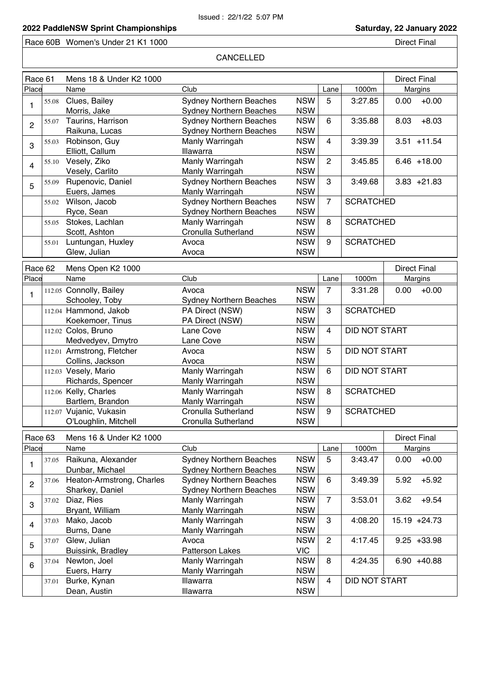Race 60B Women's Under 21 K1 1000

### CANCELLED

| Race 61                 |       | Mens 18 & Under K2 1000    |                                |            |                |                      | <b>Direct Final</b> |  |
|-------------------------|-------|----------------------------|--------------------------------|------------|----------------|----------------------|---------------------|--|
| Place                   |       | Name                       | Club                           |            | Lane           | 1000m                | Margins             |  |
|                         | 55.08 | Clues, Bailey              | <b>Sydney Northern Beaches</b> | <b>NSW</b> | 5              | 3:27.85              | 0.00<br>$+0.00$     |  |
| 1                       |       | Morris, Jake               | <b>Sydney Northern Beaches</b> | <b>NSW</b> |                |                      |                     |  |
|                         | 55.07 | Taurins, Harrison          | <b>Sydney Northern Beaches</b> | <b>NSW</b> | 6              | 3:35.88              | $+8.03$<br>8.03     |  |
| $\overline{c}$          |       | Raikuna, Lucas             | <b>Sydney Northern Beaches</b> | <b>NSW</b> |                |                      |                     |  |
|                         | 55.03 | Robinson, Guy              | Manly Warringah                | <b>NSW</b> | $\overline{4}$ | 3:39.39              | $3.51 + 11.54$      |  |
| 3                       |       | Elliott, Callum            | Illawarra                      | <b>NSW</b> |                |                      |                     |  |
|                         | 55.10 | Vesely, Ziko               | Manly Warringah                | <b>NSW</b> | $\overline{2}$ | 3:45.85              | $6.46 + 18.00$      |  |
| $\overline{\mathbf{4}}$ |       | Vesely, Carlito            | Manly Warringah                | <b>NSW</b> |                |                      |                     |  |
|                         | 55.09 | Rupenovic, Daniel          | <b>Sydney Northern Beaches</b> | <b>NSW</b> | 3              | 3:49.68              | $3.83 + 21.83$      |  |
| 5                       |       | Euers, James               | Manly Warringah                | <b>NSW</b> |                |                      |                     |  |
|                         | 55.02 | Wilson, Jacob              | <b>Sydney Northern Beaches</b> | <b>NSW</b> | $\overline{7}$ | <b>SCRATCHED</b>     |                     |  |
|                         |       | Ryce, Sean                 | <b>Sydney Northern Beaches</b> | <b>NSW</b> |                |                      |                     |  |
|                         | 55.05 | Stokes, Lachlan            | Manly Warringah                | <b>NSW</b> | 8              | <b>SCRATCHED</b>     |                     |  |
|                         |       | Scott, Ashton              | Cronulla Sutherland            | <b>NSW</b> |                |                      |                     |  |
|                         | 55.01 | Luntungan, Huxley          | Avoca                          | <b>NSW</b> | 9              | <b>SCRATCHED</b>     |                     |  |
|                         |       | Glew, Julian               | Avoca                          | <b>NSW</b> |                |                      |                     |  |
| Race 62                 |       | Mens Open K2 1000          |                                |            |                |                      | <b>Direct Final</b> |  |
| Place                   |       | Name                       | Club                           |            | Lane           | 1000m                | Margins             |  |
|                         |       | 112.05 Connolly, Bailey    | Avoca                          | <b>NSW</b> | $\overline{7}$ | 3:31.28              | $+0.00$<br>0.00     |  |
| 1                       |       | Schooley, Toby             | <b>Sydney Northern Beaches</b> | <b>NSW</b> |                |                      |                     |  |
|                         |       | 112.04 Hammond, Jakob      | PA Direct (NSW)                | <b>NSW</b> | 3              | <b>SCRATCHED</b>     |                     |  |
|                         |       | Koekemoer, Tinus           | PA Direct (NSW)                | <b>NSW</b> |                |                      |                     |  |
|                         |       | 112.02 Colos, Bruno        | Lane Cove                      | <b>NSW</b> | 4              | <b>DID NOT START</b> |                     |  |
|                         |       | Medvedyev, Dmytro          | Lane Cove                      | <b>NSW</b> |                |                      |                     |  |
|                         |       | 112.01 Armstrong, Fletcher | Avoca                          | <b>NSW</b> | 5.             | <b>DID NOT START</b> |                     |  |
|                         |       | Collins, Jackson           | Avoca                          | <b>NSW</b> |                |                      |                     |  |
|                         |       | 112.03 Vesely, Mario       | Manly Warringah                | <b>NSW</b> | 6              | <b>DID NOT START</b> |                     |  |
|                         |       | Richards, Spencer          | Manly Warringah                | <b>NSW</b> |                |                      |                     |  |
|                         |       | 112.06 Kelly, Charles      | Manly Warringah                | <b>NSW</b> | 8              | <b>SCRATCHED</b>     |                     |  |
|                         |       | Bartlem, Brandon           | Manly Warringah                | <b>NSW</b> |                |                      |                     |  |
|                         |       | 112.07 Vujanic, Vukasin    | Cronulla Sutherland            | <b>NSW</b> | 9              | <b>SCRATCHED</b>     |                     |  |
|                         |       | O'Loughlin, Mitchell       | <b>Cronulla Sutherland</b>     | <b>NSW</b> |                |                      |                     |  |
| Race 63                 |       | Mens 16 & Under K2 1000    |                                |            |                |                      | <b>Direct Final</b> |  |
| Place                   |       | Name                       | Club                           |            | Lane           | 1000m                | Margins             |  |
|                         | 37.05 | Raikuna, Alexander         | <b>Sydney Northern Beaches</b> | <b>NSW</b> | 5              | 3:43.47              | $+0.00$<br>0.00     |  |
| $\mathbf{1}$            |       | Dunbar, Michael            | <b>Sydney Northern Beaches</b> | <b>NSW</b> |                |                      |                     |  |
|                         | 37.06 | Heaton-Armstrong, Charles  | <b>Sydney Northern Beaches</b> | <b>NSW</b> | 6              | 3:49.39              | $+5.92$<br>5.92     |  |
| $\overline{c}$          |       | Sharkey, Daniel            | <b>Sydney Northern Beaches</b> | <b>NSW</b> |                |                      |                     |  |
|                         | 37.02 | Diaz, Ries                 | Manly Warringah                | <b>NSW</b> | $\overline{7}$ | 3:53.01              | $+9.54$<br>3.62     |  |
| 3                       |       | Bryant, William            | Manly Warringah                | <b>NSW</b> |                |                      |                     |  |
|                         | 37.03 | Mako, Jacob                | Manly Warringah                | <b>NSW</b> | 3              | 4:08.20              | 15.19 +24.73        |  |
| $\overline{\mathbf{4}}$ |       | Burns, Dane                | Manly Warringah                | <b>NSW</b> |                |                      |                     |  |
|                         | 37.07 | Glew, Julian               | Avoca                          | <b>NSW</b> | $\overline{2}$ | 4:17.45              | $9.25 + 33.98$      |  |
| 5                       |       | Buissink, Bradley          | <b>Patterson Lakes</b>         | <b>VIC</b> |                |                      |                     |  |
| 6                       | 37.04 | Newton, Joel               | Manly Warringah                | <b>NSW</b> | 8              | 4:24.35              | $6.90 + 40.88$      |  |
|                         |       | Euers, Harry               | Manly Warringah                | <b>NSW</b> |                |                      |                     |  |
|                         | 37.01 | Burke, Kynan               | Illawarra                      | <b>NSW</b> | 4              | DID NOT START        |                     |  |
|                         |       | Dean, Austin               | Illawarra                      | <b>NSW</b> |                |                      |                     |  |
|                         |       |                            |                                |            |                |                      |                     |  |